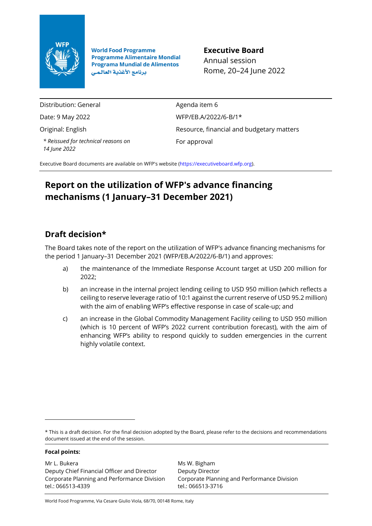

**World Food Programme Programme Alimentaire Mondial Programa Mundial de Alimentos** برنامج الأغذية العالمي

**Executive Board** Annual session Rome, 20–24 June 2022

Distribution: General

Date: 9 May 2022

Original: English

*\* Reissued for technical reasons on 14 June 2022*

Agenda item 6 WFP/EB.A/2022/6-B/1\* Resource, financial and budgetary matters For approval

Executive Board documents are available on WFP's website [\(https://executiveboard.wfp.org\).](https://executiveboard.wfp.org/)

# **Report on the utilization of WFP's advance financing mechanisms (1 January–31 December 2021)**

# **Draft decision\***

The Board takes note of the report on the utilization of WFP's advance financing mechanisms for the period 1 January–31 December 2021 (WFP/EB.A/2022/6-B/1) and approves:

- a) the maintenance of the Immediate Response Account target at USD 200 million for 2022;
- b) an increase in the internal project lending ceiling to USD 950 million (which reflects a ceiling to reserve leverage ratio of 10:1 against the current reserve of USD 95.2 million) with the aim of enabling WFP's effective response in case of scale-up; and
- c) an increase in the Global Commodity Management Facility ceiling to USD 950 million (which is 10 percent of WFP's 2022 current contribution forecast), with the aim of enhancing WFP's ability to respond quickly to sudden emergencies in the current highly volatile context.

### **Focal points:**

Mr L. Bukera Deputy Chief Financial Officer and Director Corporate Planning and Performance Division tel.: 066513-4339

Ms W. Bigham Deputy Director Corporate Planning and Performance Division tel.: 066513-3716

World Food Programme, Via Cesare Giulio Viola, 68/70, 00148 Rome, Italy

<sup>\*</sup> This is a draft decision. For the final decision adopted by the Board, please refer to the decisions and recommendations document issued at the end of the session.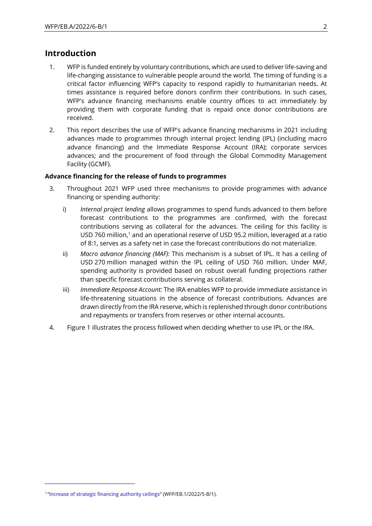## **Introduction**

- 1. WFP is funded entirely by voluntary contributions, which are used to deliver life-saving and life-changing assistance to vulnerable people around the world. The timing of funding is a critical factor influencing WFP's capacity to respond rapidly to humanitarian needs. At times assistance is required before donors confirm their contributions. In such cases, WFP's advance financing mechanisms enable country offices to act immediately by providing them with corporate funding that is repaid once donor contributions are received.
- 2. This report describes the use of WFP's advance financing mechanisms in 2021 including advances made to programmes through internal project lending (IPL) (including macro advance financing) and the Immediate Response Account (IRA); corporate services advances; and the procurement of food through the Global Commodity Management Facility (GCMF).

#### **Advance financing for the release of funds to programmes**

- 3. Throughout 2021 WFP used three mechanisms to provide programmes with advance financing or spending authority:
	- i) *Internal project lending* allows programmes to spend funds advanced to them before forecast contributions to the programmes are confirmed, with the forecast contributions serving as collateral for the advances. The ceiling for this facility is USD 760 million, <sup>1</sup> and an operational reserve of USD 95.2 million, leveraged at a ratio of 8:1, serves as a safety net in case the forecast contributions do not materialize.
	- ii) *Macro advance financing (MAF):* This mechanism is a subset of IPL. It has a ceiling of USD 270 million managed within the IPL ceiling of USD 760 million. Under MAF, spending authority is provided based on robust overall funding projections rather than specific forecast contributions serving as collateral.
	- iii) *Immediate Response Account:* The IRA enables WFP to provide immediate assistance in life-threatening situations in the absence of forecast contributions. Advances are drawn directly from the IRA reserve, which is replenished through donor contributions and repayments or transfers from reserves or other internal accounts.
- 4. Figure 1 illustrates the process followed when deciding whether to use IPL or the IRA.

<sup>&</sup>lt;sup>1</sup> "[Increase of strategic financing authority ceilings](https://executiveboard.wfp.org/document_download/WFP-0000135902)" (WFP/EB.1/2022/5-B/1).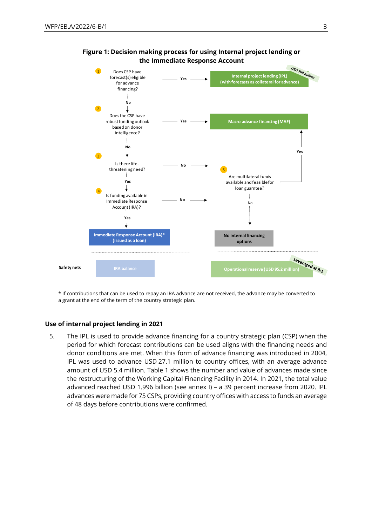



\* If contributions that can be used to repay an IRA advance are not received, the advance may be converted to a grant at the end of the term of the country strategic plan.

#### **Use of internal project lending in 2021**

5. The IPL is used to provide advance financing for a country strategic plan (CSP) when the period for which forecast contributions can be used aligns with the financing needs and donor conditions are met. When this form of advance financing was introduced in 2004, IPL was used to advance USD 27.1 million to country offices, with an average advance amount of USD 5.4 million. Table 1 shows the number and value of advances made since the restructuring of the Working Capital Financing Facility in 2014. In 2021, the total value advanced reached USD 1.996 billion (see annex I) – a 39 percent increase from 2020. IPL advances were made for 75 CSPs, providing country offices with access to funds an average of 48 days before contributions were confirmed.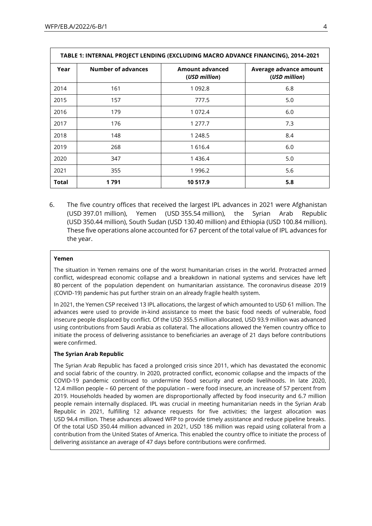| TABLE 1: INTERNAL PROJECT LENDING (EXCLUDING MACRO ADVANCE FINANCING), 2014-2021 |                           |                                         |                                         |  |  |
|----------------------------------------------------------------------------------|---------------------------|-----------------------------------------|-----------------------------------------|--|--|
| Year                                                                             | <b>Number of advances</b> | <b>Amount advanced</b><br>(USD million) | Average advance amount<br>(USD million) |  |  |
| 2014                                                                             | 161                       | 1 0 9 2.8                               | 6.8                                     |  |  |
| 2015                                                                             | 157                       | 777.5                                   | 5.0                                     |  |  |
| 2016                                                                             | 179                       | 1 072.4                                 | 6.0                                     |  |  |
| 2017                                                                             | 176                       | 1 277.7                                 | 7.3                                     |  |  |
| 2018                                                                             | 148                       | 1 248.5                                 | 8.4                                     |  |  |
| 2019                                                                             | 268                       | 1 6 1 6.4                               | 6.0                                     |  |  |
| 2020                                                                             | 347                       | 1436.4                                  | 5.0                                     |  |  |
| 2021                                                                             | 355                       | 1 996.2                                 | 5.6                                     |  |  |
| <b>Total</b>                                                                     | 1791                      | 10 517.9                                | 5.8                                     |  |  |

6. The five country offices that received the largest IPL advances in 2021 were Afghanistan (USD 397.01 million), Yemen (USD 355.54 million), the Syrian Arab Republic (USD 350.44 million), South Sudan (USD 130.40 million) and Ethiopia (USD 100.84 million). These five operations alone accounted for 67 percent of the total value of IPL advances for the year.

### **Yemen**

The situation in Yemen remains one of the worst humanitarian crises in the world. Protracted armed conflict, widespread economic collapse and a breakdown in national systems and services have left 80 percent of the population dependent on humanitarian assistance. The coronavirus disease 2019 (COVID-19) pandemic has put further strain on an already fragile health system.

In 2021, the Yemen CSP received 13 IPL allocations, the largest of which amounted to USD 61 million. The advances were used to provide in-kind assistance to meet the basic food needs of vulnerable, food insecure people displaced by conflict. Of the USD 355.5 million allocated, USD 93.9 million was advanced using contributions from Saudi Arabia as collateral. The allocations allowed the Yemen country office to initiate the process of delivering assistance to beneficiaries an average of 21 days before contributions were confirmed.

### **The Syrian Arab Republic**

The Syrian Arab Republic has faced a prolonged crisis since 2011, which has devastated the economic and social fabric of the country. In 2020, protracted conflict, economic collapse and the impacts of the COVID-19 pandemic continued to undermine food security and erode livelihoods. In late 2020, 12.4 million people – 60 percent of the population – were food insecure, an increase of 57 percent from 2019. Households headed by women are disproportionally affected by food insecurity and 6.7 million people remain internally displaced. IPL was crucial in meeting humanitarian needs in the Syrian Arab Republic in 2021, fulfilling 12 advance requests for five activities; the largest allocation was USD 94.4 million. These advances allowed WFP to provide timely assistance and reduce pipeline breaks. Of the total USD 350.44 million advanced in 2021, USD 186 million was repaid using collateral from a contribution from the United States of America. This enabled the country office to initiate the process of delivering assistance an average of 47 days before contributions were confirmed.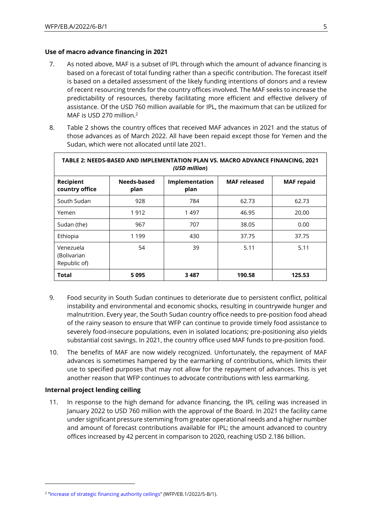Г

### **Use of macro advance financing in 2021**

- 7. As noted above, MAF is a subset of IPL through which the amount of advance financing is based on a forecast of total funding rather than a specific contribution. The forecast itself is based on a detailed assessment of the likely funding intentions of donors and a review of recent resourcing trends for the country offices involved. The MAF seeks to increase the predictability of resources, thereby facilitating more efficient and effective delivery of assistance. Of the USD 760 million available for IPL, the maximum that can be utilized for MAF is USD 270 million.<sup>2</sup>
- 8. Table 2 shows the country offices that received MAF advances in 2021 and the status of those advances as of March 2022. All have been repaid except those for Yemen and the Sudan, which were not allocated until late 2021.

| TABLE 2: NEEDS-BASED AND IMPLEMENTATION PLAN VS. MACRO ADVANCE FINANCING, 2021<br>(USD million) |                     |                        |                     |                   |  |
|-------------------------------------------------------------------------------------------------|---------------------|------------------------|---------------------|-------------------|--|
| Recipient<br>country office                                                                     | Needs-based<br>plan | Implementation<br>plan | <b>MAF</b> released | <b>MAF</b> repaid |  |
| South Sudan                                                                                     | 928                 | 784                    | 62.73               | 62.73             |  |
| Yemen                                                                                           | 1912                | 1497                   | 46.95               | 20.00             |  |
| Sudan (the)                                                                                     | 967                 | 707                    | 38.05               | 0.00              |  |
| Ethiopia                                                                                        | 1 1 9 9             | 430                    | 37.75               | 37.75             |  |
| Venezuela<br>(Bolivarian<br>Republic of)                                                        | 54                  | 39                     | 5.11                | 5.11              |  |
| <b>Total</b>                                                                                    | 5095                | 3 487                  | 190.58              | 125.53            |  |

- 9. Food security in South Sudan continues to deteriorate due to persistent conflict, political instability and environmental and economic shocks, resulting in countrywide hunger and malnutrition. Every year, the South Sudan country office needs to pre-position food ahead of the rainy season to ensure that WFP can continue to provide timely food assistance to severely food-insecure populations, even in isolated locations; pre-positioning also yields substantial cost savings. In 2021, the country office used MAF funds to pre-position food.
- 10. The benefits of MAF are now widely recognized. Unfortunately, the repayment of MAF advances is sometimes hampered by the earmarking of contributions, which limits their use to specified purposes that may not allow for the repayment of advances. This is yet another reason that WFP continues to advocate contributions with less earmarking.

### **Internal project lending ceiling**

11. In response to the high demand for advance financing, the IPL ceiling was increased in January 2022 to USD 760 million with the approval of the Board. In 2021 the facility came under significant pressure stemming from greater operational needs and a higher number and amount of forecast contributions available for IPL; the amount advanced to country offices increased by 42 percent in comparison to 2020, reaching USD 2.186 billion.

<sup>&</sup>lt;sup>2</sup> "[Increase of strategic financing authority ceilings](https://executiveboard.wfp.org/document_download/WFP-0000135902)" (WFP/EB.1/2022/5-B/1).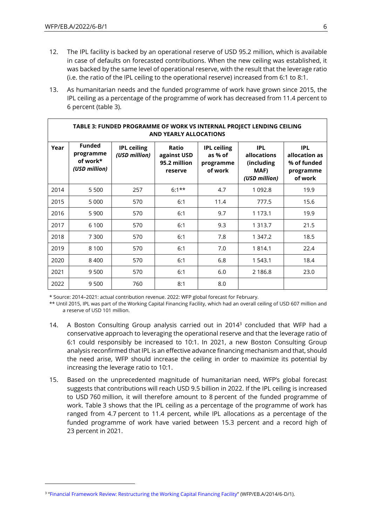- 12. The IPL facility is backed by an operational reserve of USD 95.2 million, which is available in case of defaults on forecasted contributions. When the new ceiling was established, it was backed by the same level of operational reserve, with the result that the leverage ratio (i.e. the ratio of the IPL ceiling to the operational reserve) increased from 6:1 to 8:1.
- 13. As humanitarian needs and the funded programme of work have grown since 2015, the IPL ceiling as a percentage of the programme of work has decreased from 11.4 percent to 6 percent (table 3).

|      | TABLE 3: FUNDED PROGRAMME OF WORK VS INTERNAL PROJECT LENDING CEILING<br><b>AND YEARLY ALLOCATIONS</b> |                                     |                                                 |                                                       |                                                                  |                                                                    |
|------|--------------------------------------------------------------------------------------------------------|-------------------------------------|-------------------------------------------------|-------------------------------------------------------|------------------------------------------------------------------|--------------------------------------------------------------------|
| Year | <b>Funded</b><br>programme<br>of work*<br>(USD million)                                                | <b>IPL ceiling</b><br>(USD million) | Ratio<br>against USD<br>95.2 million<br>reserve | <b>IPL ceiling</b><br>as % of<br>programme<br>of work | <b>IPL</b><br>allocations<br>(including<br>MAF)<br>(USD million) | <b>IPL</b><br>allocation as<br>% of funded<br>programme<br>of work |
| 2014 | 5 5 0 0                                                                                                | 257                                 | $6:1***$                                        | 4.7                                                   | 1 0 9 2.8                                                        | 19.9                                                               |
| 2015 | 5 0 0 0                                                                                                | 570                                 | 6:1                                             | 11.4                                                  | 777.5                                                            | 15.6                                                               |
| 2016 | 5 9 0 0                                                                                                | 570                                 | 6:1                                             | 9.7                                                   | 1 1 7 3 . 1                                                      | 19.9                                                               |
| 2017 | 6 100                                                                                                  | 570                                 | 6:1                                             | 9.3                                                   | 1 3 1 3 . 7                                                      | 21.5                                                               |
| 2018 | 7 300                                                                                                  | 570                                 | 6:1                                             | 7.8                                                   | 1 347.2                                                          | 18.5                                                               |
| 2019 | 8 1 0 0                                                                                                | 570                                 | 6:1                                             | 7.0                                                   | 1 8 1 4 . 1                                                      | 22.4                                                               |
| 2020 | 8 4 0 0                                                                                                | 570                                 | 6:1                                             | 6.8                                                   | 1 543.1                                                          | 18.4                                                               |
| 2021 | 9500                                                                                                   | 570                                 | 6:1                                             | 6.0                                                   | 2 186.8                                                          | 23.0                                                               |
| 2022 | 9500                                                                                                   | 760                                 | 8:1                                             | 8.0                                                   |                                                                  |                                                                    |

\* Source: 2014–2021: actual contribution revenue. 2022: WFP global forecast for February.

\*\* Until 2015, IPL was part of the Working Capital Financing Facility, which had an overall ceiling of USD 607 million and a reserve of USD 101 million.

- 14. A Boston Consulting Group analysis carried out in  $2014<sup>3</sup>$  concluded that WFP had a conservative approach to leveraging the operational reserve and that the leverage ratio of 6:1 could responsibly be increased to 10:1. In 2021, a new Boston Consulting Group analysis reconfirmed that IPL is an effective advance financing mechanism and that, should the need arise, WFP should increase the ceiling in order to maximize its potential by increasing the leverage ratio to 10:1.
- 15. Based on the unprecedented magnitude of humanitarian need, WFP's global forecast suggests that contributions will reach USD 9.5 billion in 2022. If the IPL ceiling is increased to USD 760 million, it will therefore amount to 8 percent of the funded programme of work. Table 3 shows that the IPL ceiling as a percentage of the programme of work has ranged from 4.7 percent to 11.4 percent, while IPL allocations as a percentage of the funded programme of work have varied between 15.3 percent and a record high of 23 percent in 2021.

<sup>3</sup> "[Financial Framework Review: Restructuring the Working Capital Financing Facility](https://executiveboard.wfp.org/document_download/WFP-0000024722)" (WFP/EB.A/2014/6-D/1).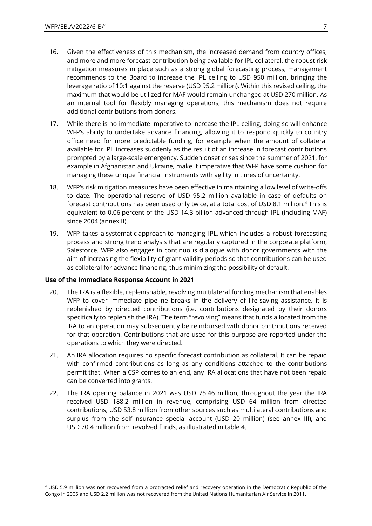- 16. Given the effectiveness of this mechanism, the increased demand from country offices, and more and more forecast contribution being available for IPL collateral, the robust risk mitigation measures in place such as a strong global forecasting process, management recommends to the Board to increase the IPL ceiling to USD 950 million, bringing the leverage ratio of 10:1 against the reserve (USD 95.2 million). Within this revised ceiling, the maximum that would be utilized for MAF would remain unchanged at USD 270 million. As an internal tool for flexibly managing operations, this mechanism does not require additional contributions from donors.
- 17. While there is no immediate imperative to increase the IPL ceiling, doing so will enhance WFP's ability to undertake advance financing, allowing it to respond quickly to country office need for more predictable funding, for example when the amount of collateral available for IPL increases suddenly as the result of an increase in forecast contributions prompted by a large-scale emergency. Sudden onset crises since the summer of 2021, for example in Afghanistan and Ukraine, make it imperative that WFP have some cushion for managing these unique financial instruments with agility in times of uncertainty.
- 18. WFP's risk mitigation measures have been effective in maintaining a low level of write-offs to date. The operational reserve of USD 95.2 million available in case of defaults on forecast contributions has been used only twice, at a total cost of USD 8.1 million. <sup>4</sup> This is equivalent to 0.06 percent of the USD 14.3 billion advanced through IPL (including MAF) since 2004 (annex II).
- 19. WFP takes a systematic approach to managing IPL, which includes a robust forecasting process and strong trend analysis that are regularly captured in the corporate platform, Salesforce. WFP also engages in continuous dialogue with donor governments with the aim of increasing the flexibility of grant validity periods so that contributions can be used as collateral for advance financing, thus minimizing the possibility of default.

### **Use of the Immediate Response Account in 2021**

- 20. The IRA is a flexible, replenishable, revolving multilateral funding mechanism that enables WFP to cover immediate pipeline breaks in the delivery of life-saving assistance. It is replenished by directed contributions (i.e. contributions designated by their donors specifically to replenish the IRA). The term "revolving" means that funds allocated from the IRA to an operation may subsequently be reimbursed with donor contributions received for that operation. Contributions that are used for this purpose are reported under the operations to which they were directed.
- 21. An IRA allocation requires no specific forecast contribution as collateral. It can be repaid with confirmed contributions as long as any conditions attached to the contributions permit that. When a CSP comes to an end, any IRA allocations that have not been repaid can be converted into grants.
- 22. The IRA opening balance in 2021 was USD 75.46 million; throughout the year the IRA received USD 188.2 million in revenue, comprising USD 64 million from directed contributions, USD 53.8 million from other sources such as multilateral contributions and surplus from the self-insurance special account (USD 20 million) (see annex III), and USD 70.4 million from revolved funds, as illustrated in table 4.

<sup>4</sup> USD 5.9 million was not recovered from a protracted relief and recovery operation in the Democratic Republic of the Congo in 2005 and USD 2.2 million was not recovered from the United Nations Humanitarian Air Service in 2011.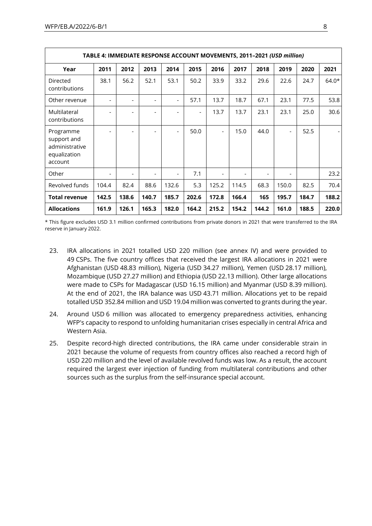|                                                                       | TABLE 4: IMMEDIATE RESPONSE ACCOUNT MOVEMENTS, 2011-2021 (USD million) |                          |       |                          |                          |                |       |       |                          |       |         |
|-----------------------------------------------------------------------|------------------------------------------------------------------------|--------------------------|-------|--------------------------|--------------------------|----------------|-------|-------|--------------------------|-------|---------|
| Year                                                                  | 2011                                                                   | 2012                     | 2013  | 2014                     | 2015                     | 2016           | 2017  | 2018  | 2019                     | 2020  | 2021    |
| Directed<br>contributions                                             | 38.1                                                                   | 56.2                     | 52.1  | 53.1                     | 50.2                     | 33.9           | 33.2  | 29.6  | 22.6                     | 24.7  | $64.0*$ |
| Other revenue                                                         | $\overline{\phantom{0}}$                                               | $\overline{\phantom{a}}$ |       | $\overline{\phantom{a}}$ | 57.1                     | 13.7           | 18.7  | 67.1  | 23.1                     | 77.5  | 53.8    |
| Multilateral<br>contributions                                         |                                                                        |                          |       |                          | $\overline{\phantom{a}}$ | 13.7           | 13.7  | 23.1  | 23.1                     | 25.0  | 30.6    |
| Programme<br>support and<br>administrative<br>equalization<br>account |                                                                        | $\overline{\phantom{a}}$ |       | $\overline{\phantom{a}}$ | 50.0                     | $\blacksquare$ | 15.0  | 44.0  | $\overline{\phantom{a}}$ | 52.5  |         |
| Other                                                                 | $\overline{\phantom{0}}$                                               | $\blacksquare$           |       |                          | 7.1                      |                |       | ۰     |                          |       | 23.2    |
| Revolved funds                                                        | 104.4                                                                  | 82.4                     | 88.6  | 132.6                    | 5.3                      | 125.2          | 114.5 | 68.3  | 150.0                    | 82.5  | 70.4    |
| <b>Total revenue</b>                                                  | 142.5                                                                  | 138.6                    | 140.7 | 185.7                    | 202.6                    | 172.8          | 166.4 | 165   | 195.7                    | 184.7 | 188.2   |
| <b>Allocations</b>                                                    | 161.9                                                                  | 126.1                    | 165.3 | 182.0                    | 164.2                    | 215.2          | 154.2 | 144.2 | 161.0                    | 188.5 | 220.0   |

\* This figure excludes USD 3.1 million confirmed contributions from private donors in 2021 that were transferred to the IRA reserve in January 2022.

- 23. IRA allocations in 2021 totalled USD 220 million (see annex IV) and were provided to 49 CSPs. The five country offices that received the largest IRA allocations in 2021 were Afghanistan (USD 48.83 million), Nigeria (USD 34.27 million), Yemen (USD 28.17 million), Mozambique (USD 27.27 million) and Ethiopia (USD 22.13 million). Other large allocations were made to CSPs for Madagascar (USD 16.15 million) and Myanmar (USD 8.39 million). At the end of 2021, the IRA balance was USD 43.71 million. Allocations yet to be repaid totalled USD 352.84 million and USD 19.04 million was converted to grants during the year.
- 24. Around USD 6 million was allocated to emergency preparedness activities, enhancing WFP's capacity to respond to unfolding humanitarian crises especially in central Africa and Western Asia.
- 25. Despite record-high directed contributions, the IRA came under considerable strain in 2021 because the volume of requests from country offices also reached a record high of USD 220 million and the level of available revolved funds was low. As a result, the account required the largest ever injection of funding from multilateral contributions and other sources such as the surplus from the self-insurance special account.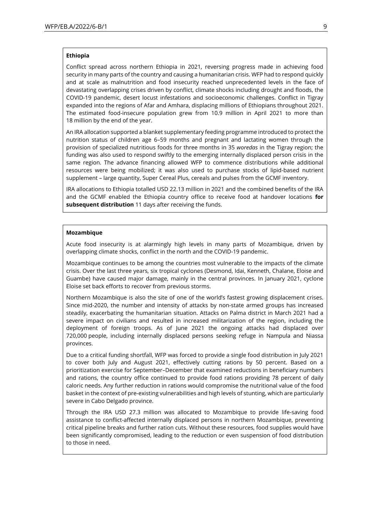#### **Ethiopia**

Conflict spread across northern Ethiopia in 2021, reversing progress made in achieving food security in many parts of the country and causing a humanitarian crisis. WFP had to respond quickly and at scale as malnutrition and food insecurity reached unprecedented levels in the face of devastating overlapping crises driven by conflict, climate shocks including drought and floods, the COVID-19 pandemic, desert locust infestations and socioeconomic challenges. Conflict in Tigray expanded into the regions of Afar and Amhara, displacing millions of Ethiopians throughout 2021. The estimated food-insecure population grew from 10.9 million in April 2021 to more than 18 million by the end of the year.

An IRA allocation supported a blanket supplementary feeding programme introduced to protect the nutrition status of children age 6–59 months and pregnant and lactating women through the provision of specialized nutritious foods for three months in 35 *woredas* in the Tigray region; the funding was also used to respond swiftly to the emerging internally displaced person crisis in the same region. The advance financing allowed WFP to commence distributions while additional resources were being mobilized; it was also used to purchase stocks of lipid-based nutrient supplement – large quantity, Super Cereal Plus, cereals and pulses from the GCMF inventory.

IRA allocations to Ethiopia totalled USD 22.13 million in 2021 and the combined benefits of the IRA and the GCMF enabled the Ethiopia country office to receive food at handover locations **for subsequent distribution** 11 days after receiving the funds.

#### **Mozambique**

Acute food insecurity is at alarmingly high levels in many parts of Mozambique, driven by overlapping climate shocks, conflict in the north and the COVID-19 pandemic.

Mozambique continues to be among the countries most vulnerable to the impacts of the climate crisis. Over the last three years, six tropical cyclones (Desmond, Idai, Kenneth, Chalane, Eloise and Guambe) have caused major damage, mainly in the central provinces. In January 2021, cyclone Eloise set back efforts to recover from previous storms.

Northern Mozambique is also the site of one of the world's fastest growing displacement crises. Since mid-2020, the number and intensity of attacks by non-state armed groups has increased steadily, exacerbating the humanitarian situation. Attacks on Palma district in March 2021 had a severe impact on civilians and resulted in increased militarization of the region, including the deployment of foreign troops. As of June 2021 the ongoing attacks had displaced over 720,000 people, including internally displaced persons seeking refuge in Nampula and Niassa provinces.

Due to a critical funding shortfall, WFP was forced to provide a single food distribution in July 2021 to cover both July and August 2021, effectively cutting rations by 50 percent. Based on a prioritization exercise for September–December that examined reductions in beneficiary numbers and rations, the country office continued to provide food rations providing 78 percent of daily caloric needs. Any further reduction in rations would compromise the nutritional value of the food basket in the context of pre-existing vulnerabilities and high levels of stunting, which are particularly severe in Cabo Delgado province.

Through the IRA USD 27.3 million was allocated to Mozambique to provide life-saving food assistance to conflict-affected internally displaced persons in northern Mozambique, preventing critical pipeline breaks and further ration cuts. Without these resources, food supplies would have been significantly compromised, leading to the reduction or even suspension of food distribution to those in need.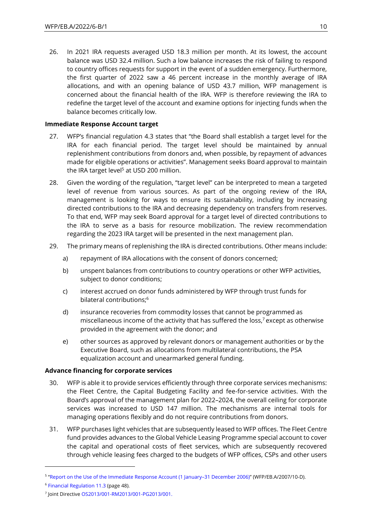26. In 2021 IRA requests averaged USD 18.3 million per month. At its lowest, the account balance was USD 32.4 million. Such a low balance increases the risk of failing to respond to country offices requests for support in the event of a sudden emergency. Furthermore, the first quarter of 2022 saw a 46 percent increase in the monthly average of IRA allocations, and with an opening balance of USD 43.7 million, WFP management is concerned about the financial health of the IRA. WFP is therefore reviewing the IRA to redefine the target level of the account and examine options for injecting funds when the balance becomes critically low.

### **Immediate Response Account target**

- 27. WFP's financial regulation 4.3 states that "the Board shall establish a target level for the IRA for each financial period. The target level should be maintained by annual replenishment contributions from donors and, when possible, by repayment of advances made for eligible operations or activities". Management seeks Board approval to maintain the IRA target level<sup>5</sup> at USD 200 million.
- 28. Given the wording of the regulation, "target level" can be interpreted to mean a targeted level of revenue from various sources. As part of the ongoing review of the IRA, management is looking for ways to ensure its sustainability, including by increasing directed contributions to the IRA and decreasing dependency on transfers from reserves. To that end, WFP may seek Board approval for a target level of directed contributions to the IRA to serve as a basis for resource mobilization. The review recommendation regarding the 2023 IRA target will be presented in the next management plan.
- 29. The primary means of replenishing the IRA is directed contributions. Other means include:
	- a) repayment of IRA allocations with the consent of donors concerned;
	- b) unspent balances from contributions to country operations or other WFP activities, subject to donor conditions;
	- c) interest accrued on donor funds administered by WFP through trust funds for bilateral contributions; 6
	- d) insurance recoveries from commodity losses that cannot be programmed as miscellaneous income of the activity that has suffered the loss, <sup>7</sup> except as otherwise provided in the agreement with the donor; and
	- e) other sources as approved by relevant donors or management authorities or by the Executive Board, such as allocations from multilateral contributions, the PSA equalization account and unearmarked general funding.

### **Advance financing for corporate services**

- 30. WFP is able it to provide services efficiently through three corporate services mechanisms: the Fleet Centre, the Capital Budgeting Facility and fee-for-service activities. With the Board's approval of the management plan for 2022–2024, the overall ceiling for corporate services was increased to USD 147 million. The mechanisms are internal tools for managing operations flexibly and do not require contributions from donors.
- 31. WFP purchases light vehicles that are subsequently leased to WFP offices. The Fleet Centre fund provides advances to the Global Vehicle Leasing Programme special account to cover the capital and operational costs of fleet services, which are subsequently recovered through vehicle leasing fees charged to the budgets of WFP offices, CSPs and other users

<sup>5</sup> "[Report on the Use of the Immediate Response Account \(1 January](https://executiveboard.wfp.org/document_download/WFP-0000026123)–31 December 2006)" (WFP/EB.A/2007/10-D).

<sup>6</sup> [Financial Regulation 11.3](https://docs.wfp.org/api/documents/WFP-0000102455/download/) (page 48).

<sup>7</sup> Joint Directive [OS2013/001-RM2013/001-PG2013/001.](https://docs.wfp.org/api/documents/WFP-0000011358/download/)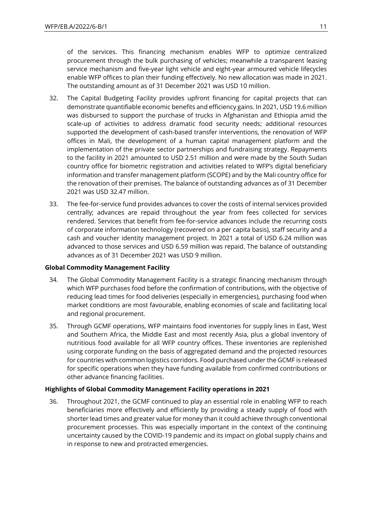of the services. This financing mechanism enables WFP to optimize centralized procurement through the bulk purchasing of vehicles; meanwhile a transparent leasing service mechanism and five-year light vehicle and eight-year armoured vehicle lifecycles enable WFP offices to plan their funding effectively. No new allocation was made in 2021. The outstanding amount as of 31 December 2021 was USD 10 million.

- 32. The Capital Budgeting Facility provides upfront financing for capital projects that can demonstrate quantifiable economic benefits and efficiency gains. In 2021, USD 19.6 million was disbursed to support the purchase of trucks in Afghanistan and Ethiopia amid the scale-up of activities to address dramatic food security needs; additional resources supported the development of cash-based transfer interventions, the renovation of WFP offices in Mali, the development of a human capital management platform and the implementation of the private sector partnerships and fundraising strategy. Repayments to the facility in 2021 amounted to USD 2.51 million and were made by the South Sudan country office for biometric registration and activities related to WFP's digital beneficiary information and transfer management platform (SCOPE) and by the Mali country office for the renovation of their premises. The balance of outstanding advances as of 31 December 2021 was USD 32.47 million.
- 33. The fee-for-service fund provides advances to cover the costs of internal services provided centrally; advances are repaid throughout the year from fees collected for services rendered. Services that benefit from fee-for-service advances include the recurring costs of corporate information technology (recovered on a per capita basis), staff security and a cash and voucher identity management project. In 2021 a total of USD 6.24 million was advanced to those services and USD 6.59 million was repaid. The balance of outstanding advances as of 31 December 2021 was USD 9 million.

### **Global Commodity Management Facility**

- 34. The Global Commodity Management Facility is a strategic financing mechanism through which WFP purchases food before the confirmation of contributions, with the objective of reducing lead times for food deliveries (especially in emergencies), purchasing food when market conditions are most favourable, enabling economies of scale and facilitating local and regional procurement.
- 35. Through GCMF operations, WFP maintains food inventories for supply lines in East, West and Southern Africa, the Middle East and most recently Asia, plus a global inventory of nutritious food available for all WFP country offices. These inventories are replenished using corporate funding on the basis of aggregated demand and the projected resources for countries with common logistics corridors. Food purchased under the GCMF is released for specific operations when they have funding available from confirmed contributions or other advance financing facilities.

### **Highlights of Global Commodity Management Facility operations in 2021**

36. Throughout 2021, the GCMF continued to play an essential role in enabling WFP to reach beneficiaries more effectively and efficiently by providing a steady supply of food with shorter lead times and greater value for money than it could achieve through conventional procurement processes. This was especially important in the context of the continuing uncertainty caused by the COVID-19 pandemic and its impact on global supply chains and in response to new and protracted emergencies.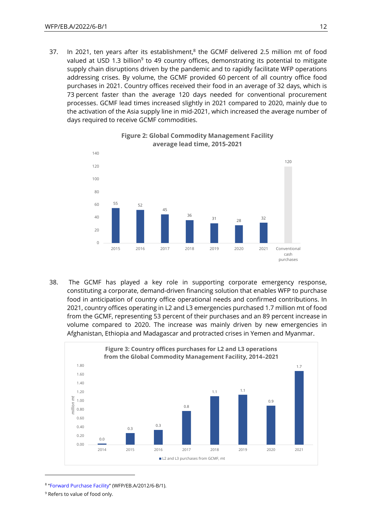37. In 2021, ten years after its establishment, ${}^{8}$  the GCMF delivered 2.5 million mt of food valued at USD 1.3 billion<sup>9</sup> to 49 country offices, demonstrating its potential to mitigate supply chain disruptions driven by the pandemic and to rapidly facilitate WFP operations addressing crises. By volume, the GCMF provided 60 percent of all country office food purchases in 2021. Country offices received their food in an average of 32 days, which is 73 percent faster than the average 120 days needed for conventional procurement processes. GCMF lead times increased slightly in 2021 compared to 2020, mainly due to the activation of the Asia supply line in mid-2021, which increased the average number of days required to receive GCMF commodities.



### **Figure 2: Global Commodity Management Facility average lead time, 2015-2021**

38. The GCMF has played a key role in supporting corporate emergency response, constituting a corporate, demand-driven financing solution that enables WFP to purchase food in anticipation of country office operational needs and confirmed contributions. In 2021, country offices operating in L2 and L3 emergencies purchased 1.7 million mt of food from the GCMF, representing 53 percent of their purchases and an 89 percent increase in volume compared to 2020. The increase was mainly driven by new emergencies in Afghanistan, Ethiopia and Madagascar and protracted crises in Yemen and Myanmar.



<sup>8</sup> "[Forward Purchase Facility](https://executiveboard.wfp.org/document_download/WFP-0000025126)" (WFP/EB.A/2012/6-B/1).

<sup>&</sup>lt;sup>9</sup> Refers to value of food only.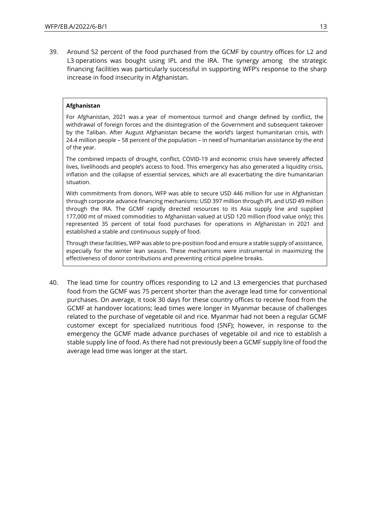39. Around 52 percent of the food purchased from the GCMF by country offices for L2 and L3 operations was bought using IPL and the IRA. The synergy among the strategic financing facilities was particularly successful in supporting WFP's response to the sharp increase in food insecurity in Afghanistan.

### **Afghanistan**

For Afghanistan, 2021 was a year of momentous turmoil and change defined by conflict, the withdrawal of foreign forces and the disintegration of the Government and subsequent takeover by the Taliban. After August Afghanistan became the world's largest humanitarian crisis, with 24.4 million people – 58 percent of the population – in need of humanitarian assistance by the end of the year.

The combined impacts of drought, conflict, COVID-19 and economic crisis have severely affected lives, livelihoods and people's access to food. This emergency has also generated a liquidity crisis, inflation and the collapse of essential services, which are all exacerbating the dire humanitarian situation.

With commitments from donors, WFP was able to secure USD 446 million for use in Afghanistan through corporate advance financing mechanisms: USD 397 million through IPL and USD 49 million through the IRA. The GCMF rapidly directed resources to its Asia supply line and supplied 177,000 mt of mixed commodities to Afghanistan valued at USD 120 million (food value only); this represented 35 percent of total food purchases for operations in Afghanistan in 2021 and established a stable and continuous supply of food.

Through these facilities, WFP was able to pre-position food and ensure a stable supply of assistance, especially for the winter lean season. These mechanisms were instrumental in maximizing the effectiveness of donor contributions and preventing critical pipeline breaks.

40. The lead time for country offices responding to L2 and L3 emergencies that purchased food from the GCMF was 75 percent shorter than the average lead time for conventional purchases. On average, it took 30 days for these country offices to receive food from the GCMF at handover locations; lead times were longer in Myanmar because of challenges related to the purchase of vegetable oil and rice. Myanmar had not been a regular GCMF customer except for specialized nutritious food (SNF); however, in response to the emergency the GCMF made advance purchases of vegetable oil and rice to establish a stable supply line of food. As there had not previously been a GCMF supply line of food the average lead time was longer at the start.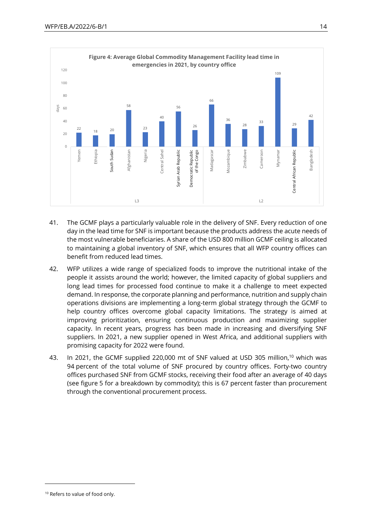

- 41. The GCMF plays a particularly valuable role in the delivery of SNF. Every reduction of one day in the lead time for SNF is important because the products address the acute needs of the most vulnerable beneficiaries. A share of the USD 800 million GCMF ceiling is allocated to maintaining a global inventory of SNF, which ensures that all WFP country offices can benefit from reduced lead times.
- 42. WFP utilizes a wide range of specialized foods to improve the nutritional intake of the people it assists around the world; however, the limited capacity of global suppliers and long lead times for processed food continue to make it a challenge to meet expected demand. In response, the corporate planning and performance, nutrition and supply chain operations divisions are implementing a long-term global strategy through the GCMF to help country offices overcome global capacity limitations. The strategy is aimed at improving prioritization, ensuring continuous production and maximizing supplier capacity. In recent years, progress has been made in increasing and diversifying SNF suppliers. In 2021, a new supplier opened in West Africa, and additional suppliers with promising capacity for 2022 were found.
- 43. In 2021, the GCMF supplied 220,000 mt of SNF valued at USD 305 million,<sup>10</sup> which was 94 percent of the total volume of SNF procured by country offices. Forty-two country offices purchased SNF from GCMF stocks, receiving their food after an average of 40 days (see figure 5 for a breakdown by commodity); this is 67 percent faster than procurement through the conventional procurement process.

<sup>&</sup>lt;sup>10</sup> Refers to value of food only.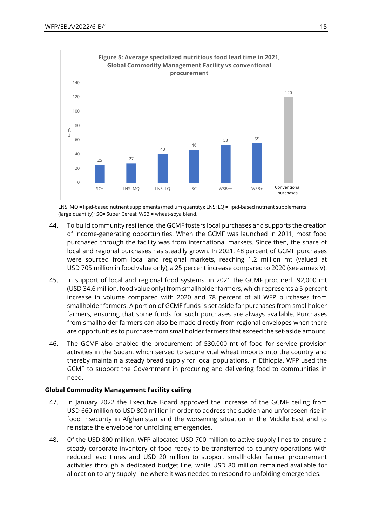

LNS: MQ = lipid-based nutrient supplements (medium quantity); LNS: LQ = lipid-based nutrient supplements (large quantity); SC= Super Cereal; WSB = wheat-soya blend.

- 44. To build community resilience, the GCMF fosters local purchases and supports the creation of income-generating opportunities. When the GCMF was launched in 2011, most food purchased through the facility was from international markets. Since then, the share of local and regional purchases has steadily grown. In 2021, 48 percent of GCMF purchases were sourced from local and regional markets, reaching 1.2 million mt (valued at USD 705 million in food value only), a 25 percent increase compared to 2020 (see annex V).
- 45. In support of local and regional food systems, in 2021 the GCMF procured 92,000 mt (USD 34.6 million, food value only) from smallholder farmers, which represents a 5 percent increase in volume compared with 2020 and 78 percent of all WFP purchases from smallholder farmers. A portion of GCMF funds is set aside for purchases from smallholder farmers, ensuring that some funds for such purchases are always available. Purchases from smallholder farmers can also be made directly from regional envelopes when there are opportunities to purchase from smallholder farmers that exceed the set-aside amount.
- 46. The GCMF also enabled the procurement of 530,000 mt of food for service provision activities in the Sudan, which served to secure vital wheat imports into the country and thereby maintain a steady bread supply for local populations. In Ethiopia, WFP used the GCMF to support the Government in procuring and delivering food to communities in need.

### **Global Commodity Management Facility ceiling**

- 47. In January 2022 the Executive Board approved the increase of the GCMF ceiling from USD 660 million to USD 800 million in order to address the sudden and unforeseen rise in food insecurity in Afghanistan and the worsening situation in the Middle East and to reinstate the envelope for unfolding emergencies.
- 48. Of the USD 800 million, WFP allocated USD 700 million to active supply lines to ensure a steady corporate inventory of food ready to be transferred to country operations with reduced lead times and USD 20 million to support smallholder farmer procurement activities through a dedicated budget line, while USD 80 million remained available for allocation to any supply line where it was needed to respond to unfolding emergencies.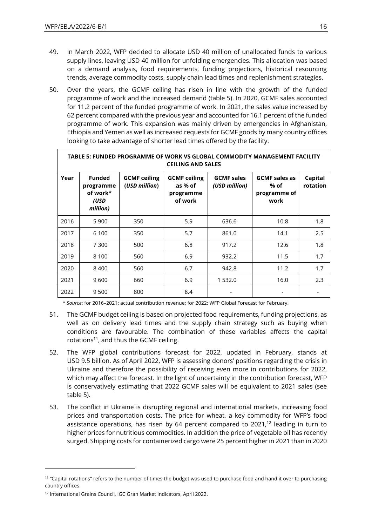- 49. In March 2022, WFP decided to allocate USD 40 million of unallocated funds to various supply lines, leaving USD 40 million for unfolding emergencies. This allocation was based on a demand analysis, food requirements, funding projections, historical resourcing trends, average commodity costs, supply chain lead times and replenishment strategies.
- 50. Over the years, the GCMF ceiling has risen in line with the growth of the funded programme of work and the increased demand (table 5). In 2020, GCMF sales accounted for 11.2 percent of the funded programme of work. In 2021, the sales value increased by 62 percent compared with the previous year and accounted for 16.1 percent of the funded programme of work. This expansion was mainly driven by emergencies in Afghanistan, Ethiopia and Yemen as well as increased requests for GCMF goods by many country offices looking to take advantage of shorter lead times offered by the facility.

|      | TABLE 5: FUNDED PROGRAMME OF WORK VS GLOBAL COMMODITY MANAGEMENT FACILITY<br><b>CEILING AND SALES</b> |                                      |                                                        |                                    |                                                      |                     |  |
|------|-------------------------------------------------------------------------------------------------------|--------------------------------------|--------------------------------------------------------|------------------------------------|------------------------------------------------------|---------------------|--|
| Year | <b>Funded</b><br>programme<br>of work*<br>(USD<br>million)                                            | <b>GCMF ceiling</b><br>(USD million) | <b>GCMF ceiling</b><br>as % of<br>programme<br>of work | <b>GCMF</b> sales<br>(USD million) | <b>GCMF sales as</b><br>% of<br>programme of<br>work | Capital<br>rotation |  |
| 2016 | 5 9 0 0                                                                                               | 350                                  | 5.9                                                    | 636.6                              | 10.8                                                 | 1.8                 |  |
| 2017 | 6 1 0 0                                                                                               | 350                                  | 5.7                                                    | 861.0                              | 14.1                                                 | 2.5                 |  |
| 2018 | 7 300                                                                                                 | 500                                  | 6.8                                                    | 917.2                              | 12.6                                                 | 1.8                 |  |
| 2019 | 8 1 0 0                                                                                               | 560                                  | 6.9                                                    | 932.2                              | 11.5                                                 | 1.7                 |  |
| 2020 | 8400                                                                                                  | 560                                  | 6.7                                                    | 942.8                              | 11.2                                                 | 1.7                 |  |
| 2021 | 9600                                                                                                  | 660                                  | 6.9                                                    | 1 532.0                            | 16.0                                                 | 2.3                 |  |
| 2022 | 9 500                                                                                                 | 800                                  | 8.4                                                    |                                    |                                                      |                     |  |

\* *Source*: for 2016–2021: actual contribution revenue; for 2022: WFP Global Forecast for February.

- 51. The GCMF budget ceiling is based on projected food requirements, funding projections, as well as on delivery lead times and the supply chain strategy such as buying when conditions are favourable. The combination of these variables affects the capital rotations<sup>11</sup>, and thus the GCMF ceiling.
- 52. The WFP global contributions forecast for 2022, updated in February, stands at USD 9.5 billion. As of April 2022, WFP is assessing donors' positions regarding the crisis in Ukraine and therefore the possibility of receiving even more in contributions for 2022, which may affect the forecast. In the light of uncertainty in the contribution forecast, WFP is conservatively estimating that 2022 GCMF sales will be equivalent to 2021 sales (see table 5).
- 53. The conflict in Ukraine is disrupting regional and international markets, increasing food prices and transportation costs. The price for wheat, a key commodity for WFP's food assistance operations, has risen by 64 percent compared to  $2021<sup>12</sup>$  leading in turn to higher prices for nutritious commodities. In addition the price of vegetable oil has recently surged. Shipping costs for containerized cargo were 25 percent higher in 2021 than in 2020

<sup>&</sup>lt;sup>11</sup> "Capital rotations" refers to the number of times the budget was used to purchase food and hand it over to purchasing country offices.

<sup>&</sup>lt;sup>12</sup> International Grains Council, IGC Gran Market Indicators, April 2022.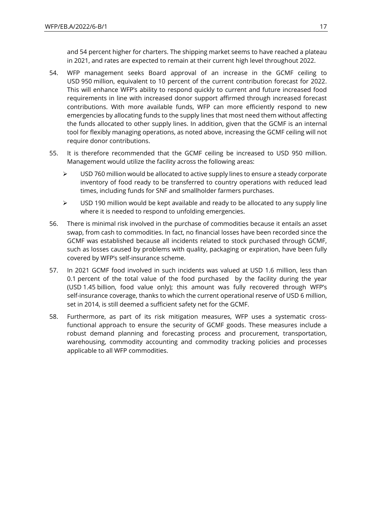and 54 percent higher for charters. The shipping market seems to have reached a plateau in 2021, and rates are expected to remain at their current high level throughout 2022.

- 54. WFP management seeks Board approval of an increase in the GCMF ceiling to USD 950 million, equivalent to 10 percent of the current contribution forecast for 2022. This will enhance WFP's ability to respond quickly to current and future increased food requirements in line with increased donor support affirmed through increased forecast contributions. With more available funds, WFP can more efficiently respond to new emergencies by allocating funds to the supply lines that most need them without affecting the funds allocated to other supply lines. In addition, given that the GCMF is an internal tool for flexibly managing operations, as noted above, increasing the GCMF ceiling will not require donor contributions.
- 55. It is therefore recommended that the GCMF ceiling be increased to USD 950 million. Management would utilize the facility across the following areas:
	- ➢ USD 760 million would be allocated to active supply lines to ensure a steady corporate inventory of food ready to be transferred to country operations with reduced lead times, including funds for SNF and smallholder farmers purchases.
	- $\triangleright$  USD 190 million would be kept available and ready to be allocated to any supply line where it is needed to respond to unfolding emergencies.
- 56. There is minimal risk involved in the purchase of commodities because it entails an asset swap, from cash to commodities. In fact, no financial losses have been recorded since the GCMF was established because all incidents related to stock purchased through GCMF, such as losses caused by problems with quality, packaging or expiration, have been fully covered by WFP's self-insurance scheme.
- 57. In 2021 GCMF food involved in such incidents was valued at USD 1.6 million, less than 0.1 percent of the total value of the food purchased by the facility during the year (USD 1.45 billion, food value only); this amount was fully recovered through WFP's self-insurance coverage, thanks to which the current operational reserve of USD 6 million, set in 2014, is still deemed a sufficient safety net for the GCMF.
- 58. Furthermore, as part of its risk mitigation measures, WFP uses a systematic crossfunctional approach to ensure the security of GCMF goods. These measures include a robust demand planning and forecasting process and procurement, transportation, warehousing, commodity accounting and commodity tracking policies and processes applicable to all WFP commodities.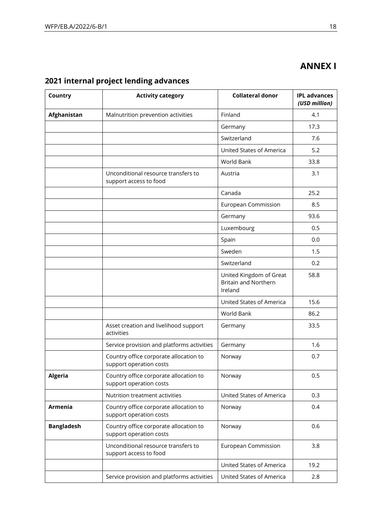# **ANNEX I**

| Country           | <b>Activity category</b>                                          | <b>Collateral donor</b>                                           | <b>IPL advances</b><br>(USD million) |
|-------------------|-------------------------------------------------------------------|-------------------------------------------------------------------|--------------------------------------|
| Afghanistan       | Malnutrition prevention activities                                | Finland                                                           | 4.1                                  |
|                   |                                                                   | Germany                                                           | 17.3                                 |
|                   |                                                                   | Switzerland                                                       | 7.6                                  |
|                   |                                                                   | United States of America                                          | 5.2                                  |
|                   |                                                                   | World Bank                                                        | 33.8                                 |
|                   | Unconditional resource transfers to<br>support access to food     | Austria                                                           | 3.1                                  |
|                   |                                                                   | Canada                                                            | 25.2                                 |
|                   |                                                                   | European Commission                                               | 8.5                                  |
|                   |                                                                   | Germany                                                           | 93.6                                 |
|                   |                                                                   | Luxembourg                                                        | 0.5                                  |
|                   |                                                                   | Spain                                                             | 0.0                                  |
|                   |                                                                   | Sweden                                                            | 1.5                                  |
|                   |                                                                   | Switzerland                                                       | 0.2                                  |
|                   |                                                                   | United Kingdom of Great<br><b>Britain and Northern</b><br>Ireland | 58.8                                 |
|                   |                                                                   | United States of America                                          | 15.6                                 |
|                   |                                                                   | World Bank                                                        | 86.2                                 |
|                   | Asset creation and livelihood support<br>activities               | Germany                                                           | 33.5                                 |
|                   | Service provision and platforms activities                        | Germany                                                           | 1.6                                  |
|                   | Country office corporate allocation to<br>support operation costs | Norway                                                            | 0.7                                  |
| <b>Algeria</b>    | Country office corporate allocation to<br>support operation costs | Norway                                                            | 0.5                                  |
|                   | Nutrition treatment activities                                    | United States of America                                          | 0.3                                  |
| <b>Armenia</b>    | Country office corporate allocation to<br>support operation costs | Norway                                                            | 0.4                                  |
| <b>Bangladesh</b> | Country office corporate allocation to<br>support operation costs | Norway                                                            | 0.6                                  |
|                   | Unconditional resource transfers to<br>support access to food     | <b>European Commission</b>                                        | 3.8                                  |
|                   |                                                                   | United States of America                                          | 19.2                                 |
|                   | Service provision and platforms activities                        | United States of America                                          | 2.8                                  |

# **2021 internal project lending advances**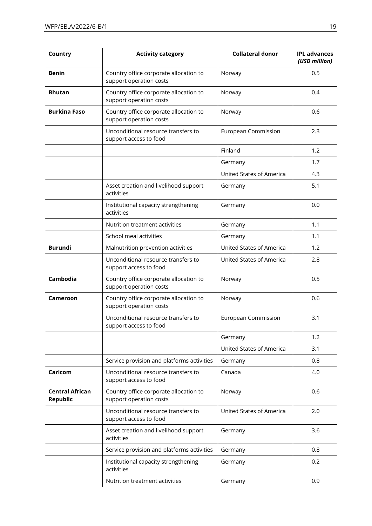| Country                            | <b>Activity category</b>                                          | <b>Collateral donor</b>    | <b>IPL advances</b><br>(USD million) |
|------------------------------------|-------------------------------------------------------------------|----------------------------|--------------------------------------|
| <b>Benin</b>                       | Country office corporate allocation to<br>support operation costs | Norway                     | 0.5                                  |
| <b>Bhutan</b>                      | Country office corporate allocation to<br>support operation costs | Norway                     | 0.4                                  |
| <b>Burkina Faso</b>                | Country office corporate allocation to<br>support operation costs | Norway                     | 0.6                                  |
|                                    | Unconditional resource transfers to<br>support access to food     | European Commission        | 2.3                                  |
|                                    |                                                                   | Finland                    | 1.2                                  |
|                                    |                                                                   | Germany                    | 1.7                                  |
|                                    |                                                                   | United States of America   | 4.3                                  |
|                                    | Asset creation and livelihood support<br>activities               | Germany                    | 5.1                                  |
|                                    | Institutional capacity strengthening<br>activities                | Germany                    | 0.0                                  |
|                                    | Nutrition treatment activities                                    | Germany                    | 1.1                                  |
|                                    | School meal activities                                            | Germany                    | 1.1                                  |
| <b>Burundi</b>                     | Malnutrition prevention activities                                | United States of America   | 1.2                                  |
|                                    | Unconditional resource transfers to<br>support access to food     | United States of America   | 2.8                                  |
| Cambodia                           | Country office corporate allocation to<br>support operation costs | Norway                     | 0.5                                  |
| Cameroon                           | Country office corporate allocation to<br>support operation costs | Norway                     | 0.6                                  |
|                                    | Unconditional resource transfers to<br>support access to food     | <b>European Commission</b> | 3.1                                  |
|                                    |                                                                   | Germany                    | 1.2                                  |
|                                    |                                                                   | United States of America   | 3.1                                  |
|                                    | Service provision and platforms activities                        | Germany                    | 0.8                                  |
| Caricom                            | Unconditional resource transfers to<br>support access to food     | Canada                     | 4.0                                  |
| <b>Central African</b><br>Republic | Country office corporate allocation to<br>support operation costs | Norway                     | 0.6                                  |
|                                    | Unconditional resource transfers to<br>support access to food     | United States of America   | 2.0                                  |
|                                    | Asset creation and livelihood support<br>activities               | Germany                    | 3.6                                  |
|                                    | Service provision and platforms activities                        | Germany                    | 0.8                                  |
|                                    | Institutional capacity strengthening<br>activities                | Germany                    | 0.2                                  |
|                                    | Nutrition treatment activities                                    | Germany                    | 0.9                                  |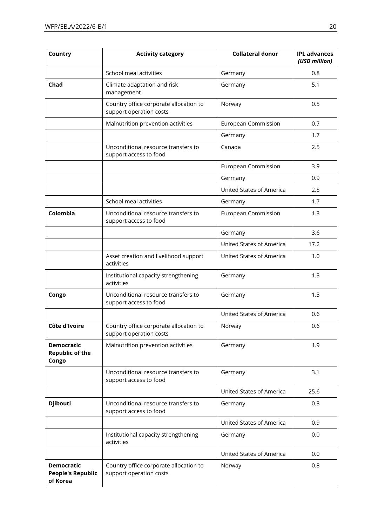| Country                                                   | <b>Activity category</b>                                          | <b>Collateral donor</b>    | <b>IPL advances</b><br>(USD million) |
|-----------------------------------------------------------|-------------------------------------------------------------------|----------------------------|--------------------------------------|
|                                                           | School meal activities                                            | Germany                    | 0.8                                  |
| Chad                                                      | Climate adaptation and risk<br>management                         | Germany                    | 5.1                                  |
|                                                           | Country office corporate allocation to<br>support operation costs | Norway                     | 0.5                                  |
|                                                           | Malnutrition prevention activities                                | <b>European Commission</b> | 0.7                                  |
|                                                           |                                                                   | Germany                    | 1.7                                  |
|                                                           | Unconditional resource transfers to<br>support access to food     | Canada                     | 2.5                                  |
|                                                           |                                                                   | European Commission        | 3.9                                  |
|                                                           |                                                                   | Germany                    | 0.9                                  |
|                                                           |                                                                   | United States of America   | 2.5                                  |
|                                                           | School meal activities                                            | Germany                    | 1.7                                  |
| Colombia                                                  | Unconditional resource transfers to<br>support access to food     | <b>European Commission</b> | 1.3                                  |
|                                                           |                                                                   | Germany                    | 3.6                                  |
|                                                           |                                                                   | United States of America   | 17.2                                 |
|                                                           | Asset creation and livelihood support<br>activities               | United States of America   | 1.0                                  |
|                                                           | Institutional capacity strengthening<br>activities                | Germany                    | 1.3                                  |
| Congo                                                     | Unconditional resource transfers to<br>support access to food     | Germany                    | 1.3                                  |
|                                                           |                                                                   | United States of America   | 0.6                                  |
| Côte d'Ivoire                                             | Country office corporate allocation to<br>support operation costs | Norway                     | 0.6                                  |
| <b>Democratic</b><br><b>Republic of the</b><br>Congo      | Malnutrition prevention activities                                | Germany                    | 1.9                                  |
|                                                           | Unconditional resource transfers to<br>support access to food     | Germany                    | 3.1                                  |
|                                                           |                                                                   | United States of America   | 25.6                                 |
| <b>Djibouti</b>                                           | Unconditional resource transfers to<br>support access to food     | Germany                    | 0.3                                  |
|                                                           |                                                                   | United States of America   | 0.9                                  |
|                                                           | Institutional capacity strengthening<br>activities                | Germany                    | 0.0                                  |
|                                                           |                                                                   | United States of America   | 0.0                                  |
| <b>Democratic</b><br><b>People's Republic</b><br>of Korea | Country office corporate allocation to<br>support operation costs | Norway                     | 0.8                                  |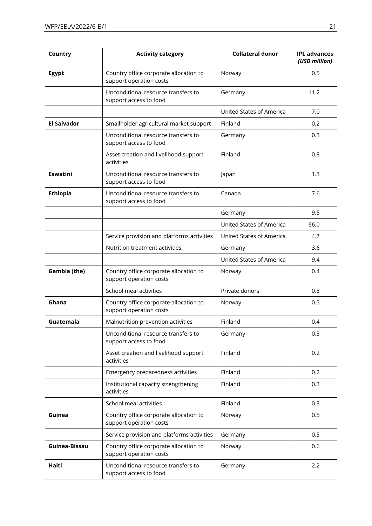| Country            | <b>Activity category</b>                                          | <b>Collateral donor</b>  | <b>IPL advances</b><br>(USD million) |
|--------------------|-------------------------------------------------------------------|--------------------------|--------------------------------------|
| <b>Egypt</b>       | Country office corporate allocation to<br>support operation costs | Norway                   | 0.5                                  |
|                    | Unconditional resource transfers to<br>support access to food     | Germany                  | 11.2                                 |
|                    |                                                                   | United States of America | 7.0                                  |
| <b>El Salvador</b> | Smallholder agricultural market support                           | Finland                  | 0.2                                  |
|                    | Unconditional resource transfers to<br>support access to food     | Germany                  | 0.3                                  |
|                    | Asset creation and livelihood support<br>activities               | Finland                  | 0.8                                  |
| <b>Eswatini</b>    | Unconditional resource transfers to<br>support access to food     | Japan                    | 1.3                                  |
| <b>Ethiopia</b>    | Unconditional resource transfers to<br>support access to food     | Canada                   | 7.6                                  |
|                    |                                                                   | Germany                  | 9.5                                  |
|                    |                                                                   | United States of America | 66.0                                 |
|                    | Service provision and platforms activities                        | United States of America | 4.7                                  |
|                    | Nutrition treatment activities                                    | Germany                  | 3.6                                  |
|                    |                                                                   | United States of America | 9.4                                  |
| Gambia (the)       | Country office corporate allocation to<br>support operation costs | Norway                   | 0.4                                  |
|                    | School meal activities                                            | Private donors           | 0.8                                  |
| Ghana              | Country office corporate allocation to<br>support operation costs | Norway                   | 0.5                                  |
| Guatemala          | Malnutrition prevention activities                                | Finland                  | 0.4                                  |
|                    | Unconditional resource transfers to<br>support access to food     | Germany                  | 0.3                                  |
|                    | Asset creation and livelihood support<br>activities               | Finland                  | 0.2                                  |
|                    | Emergency preparedness activities                                 | Finland                  | 0.2                                  |
|                    | Institutional capacity strengthening<br>activities                | Finland                  | 0.3                                  |
|                    | School meal activities                                            | Finland                  | 0.3                                  |
| Guinea             | Country office corporate allocation to<br>support operation costs | Norway                   | 0.5                                  |
|                    | Service provision and platforms activities                        | Germany                  | 0.5                                  |
| Guinea-Bissau      | Country office corporate allocation to<br>support operation costs | Norway                   | 0.6                                  |
| Haiti              | Unconditional resource transfers to<br>support access to food     | Germany                  | 2.2                                  |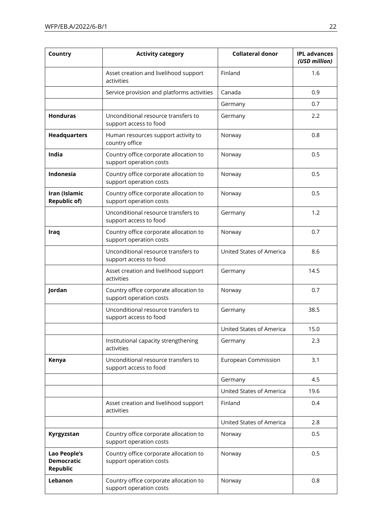| Country                                                     | <b>Activity category</b>                                          | <b>Collateral donor</b>  | <b>IPL advances</b><br>(USD million) |
|-------------------------------------------------------------|-------------------------------------------------------------------|--------------------------|--------------------------------------|
|                                                             | Asset creation and livelihood support<br>activities               | Finland                  | 1.6                                  |
|                                                             | Service provision and platforms activities                        | Canada                   | 0.9                                  |
|                                                             |                                                                   | Germany                  | 0.7                                  |
| <b>Honduras</b>                                             | Unconditional resource transfers to<br>support access to food     | Germany                  | 2.2                                  |
| <b>Headquarters</b>                                         | Human resources support activity to<br>country office             | Norway                   | 0.8                                  |
| India                                                       | Country office corporate allocation to<br>support operation costs | Norway                   | 0.5                                  |
| Indonesia                                                   | Country office corporate allocation to<br>support operation costs | Norway                   | 0.5                                  |
| Iran (Islamic<br><b>Republic of)</b>                        | Country office corporate allocation to<br>support operation costs | Norway                   | 0.5                                  |
|                                                             | Unconditional resource transfers to<br>support access to food     | Germany                  | 1.2                                  |
| Iraq                                                        | Country office corporate allocation to<br>support operation costs | Norway                   | 0.7                                  |
|                                                             | Unconditional resource transfers to<br>support access to food     | United States of America | 8.6                                  |
|                                                             | Asset creation and livelihood support<br>activities               | Germany                  | 14.5                                 |
| Jordan                                                      | Country office corporate allocation to<br>support operation costs | Norway                   | 0.7                                  |
|                                                             | Unconditional resource transfers to<br>support access to food     | Germany                  | 38.5                                 |
|                                                             |                                                                   | United States of America | 15.0                                 |
|                                                             | Institutional capacity strengthening<br>activities                | Germany                  | 2.3                                  |
| Kenya                                                       | Unconditional resource transfers to<br>support access to food     | European Commission      | 3.1                                  |
|                                                             |                                                                   | Germany                  | 4.5                                  |
|                                                             |                                                                   | United States of America | 19.6                                 |
|                                                             | Asset creation and livelihood support<br>activities               | Finland                  | 0.4                                  |
|                                                             |                                                                   | United States of America | 2.8                                  |
| Kyrgyzstan                                                  | Country office corporate allocation to<br>support operation costs | Norway                   | 0.5                                  |
| <b>Lao People's</b><br><b>Democratic</b><br><b>Republic</b> | Country office corporate allocation to<br>support operation costs | Norway                   | 0.5                                  |
| Lebanon                                                     | Country office corporate allocation to<br>support operation costs | Norway                   | 0.8                                  |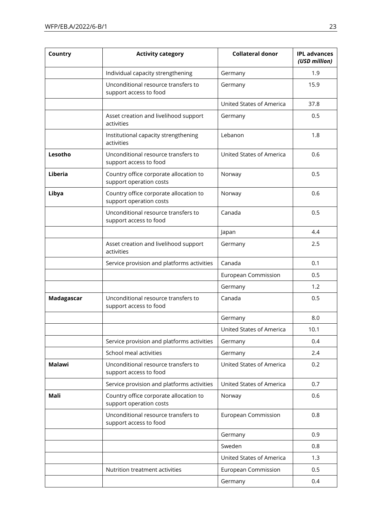| Country       | <b>Activity category</b>                                          | <b>Collateral donor</b>    | <b>IPL advances</b><br>(USD million) |
|---------------|-------------------------------------------------------------------|----------------------------|--------------------------------------|
|               | Individual capacity strengthening                                 | Germany                    | 1.9                                  |
|               | Unconditional resource transfers to<br>support access to food     | Germany                    | 15.9                                 |
|               |                                                                   | United States of America   | 37.8                                 |
|               | Asset creation and livelihood support<br>activities               | Germany                    | 0.5                                  |
|               | Institutional capacity strengthening<br>activities                | Lebanon                    | 1.8                                  |
| Lesotho       | Unconditional resource transfers to<br>support access to food     | United States of America   | 0.6                                  |
| Liberia       | Country office corporate allocation to<br>support operation costs | Norway                     | 0.5                                  |
| Libya         | Country office corporate allocation to<br>support operation costs | Norway                     | 0.6                                  |
|               | Unconditional resource transfers to<br>support access to food     | Canada                     | 0.5                                  |
|               |                                                                   | Japan                      | 4.4                                  |
|               | Asset creation and livelihood support<br>activities               | Germany                    | 2.5                                  |
|               | Service provision and platforms activities                        | Canada                     | 0.1                                  |
|               |                                                                   | European Commission        | 0.5                                  |
|               |                                                                   | Germany                    | 1.2                                  |
| Madagascar    | Unconditional resource transfers to<br>support access to food     | Canada                     | 0.5                                  |
|               |                                                                   | Germany                    | 8.0                                  |
|               |                                                                   | United States of America   | 10.1                                 |
|               | Service provision and platforms activities                        | Germany                    | 0.4                                  |
|               | School meal activities                                            | Germany                    | 2.4                                  |
| <b>Malawi</b> | Unconditional resource transfers to<br>support access to food     | United States of America   | 0.2                                  |
|               | Service provision and platforms activities                        | United States of America   | 0.7                                  |
| Mali          | Country office corporate allocation to<br>support operation costs | Norway                     | 0.6                                  |
|               | Unconditional resource transfers to<br>support access to food     | <b>European Commission</b> | 0.8                                  |
|               |                                                                   | Germany                    | 0.9                                  |
|               |                                                                   | Sweden                     | 0.8                                  |
|               |                                                                   | United States of America   | 1.3                                  |
|               | Nutrition treatment activities                                    | European Commission        | 0.5                                  |
|               |                                                                   | Germany                    | 0.4                                  |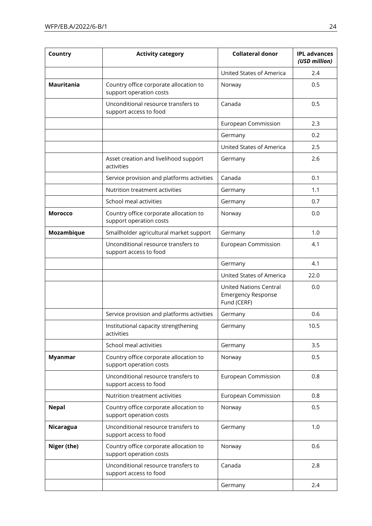| Country           | <b>Activity category</b>                                          | <b>Collateral donor</b>                                                   | <b>IPL advances</b><br>(USD million) |
|-------------------|-------------------------------------------------------------------|---------------------------------------------------------------------------|--------------------------------------|
|                   |                                                                   | United States of America                                                  | 2.4                                  |
| <b>Mauritania</b> | Country office corporate allocation to<br>support operation costs | Norway                                                                    | 0.5                                  |
|                   | Unconditional resource transfers to<br>support access to food     | Canada                                                                    | 0.5                                  |
|                   |                                                                   | <b>European Commission</b>                                                | 2.3                                  |
|                   |                                                                   | Germany                                                                   | 0.2                                  |
|                   |                                                                   | United States of America                                                  | 2.5                                  |
|                   | Asset creation and livelihood support<br>activities               | Germany                                                                   | 2.6                                  |
|                   | Service provision and platforms activities                        | Canada                                                                    | 0.1                                  |
|                   | Nutrition treatment activities                                    | Germany                                                                   | 1.1                                  |
|                   | School meal activities                                            | Germany                                                                   | 0.7                                  |
| <b>Morocco</b>    | Country office corporate allocation to<br>support operation costs | Norway                                                                    | 0.0                                  |
| Mozambique        | Smallholder agricultural market support                           | Germany                                                                   | 1.0                                  |
|                   | Unconditional resource transfers to<br>support access to food     | European Commission                                                       | 4.1                                  |
|                   |                                                                   | Germany                                                                   | 4.1                                  |
|                   |                                                                   | United States of America                                                  | 22.0                                 |
|                   |                                                                   | <b>United Nations Central</b><br><b>Emergency Response</b><br>Fund (CERF) | 0.0                                  |
|                   | Service provision and platforms activities                        | Germany                                                                   | 0.6                                  |
|                   | Institutional capacity strengthening<br>activities                | Germany                                                                   | 10.5                                 |
|                   | School meal activities                                            | Germany                                                                   | 3.5                                  |
| <b>Myanmar</b>    | Country office corporate allocation to<br>support operation costs | Norway                                                                    | 0.5                                  |
|                   | Unconditional resource transfers to<br>support access to food     | European Commission                                                       | 0.8                                  |
|                   | Nutrition treatment activities                                    | European Commission                                                       | 0.8                                  |
| <b>Nepal</b>      | Country office corporate allocation to<br>support operation costs | Norway                                                                    | 0.5                                  |
| Nicaragua         | Unconditional resource transfers to<br>support access to food     | Germany                                                                   | 1.0                                  |
| Niger (the)       | Country office corporate allocation to<br>support operation costs | Norway                                                                    | 0.6                                  |
|                   | Unconditional resource transfers to<br>support access to food     | Canada                                                                    | 2.8                                  |
|                   |                                                                   | Germany                                                                   | 2.4                                  |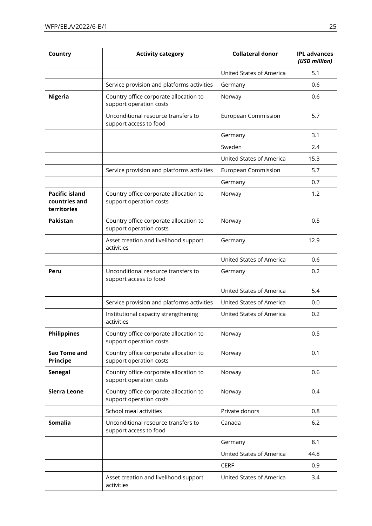| Country                                               | <b>Activity category</b>                                          | <b>Collateral donor</b>  | <b>IPL advances</b><br>(USD million) |
|-------------------------------------------------------|-------------------------------------------------------------------|--------------------------|--------------------------------------|
|                                                       |                                                                   | United States of America | 5.1                                  |
|                                                       | Service provision and platforms activities                        | Germany                  | 0.6                                  |
| <b>Nigeria</b>                                        | Country office corporate allocation to<br>support operation costs | Norway                   | 0.6                                  |
|                                                       | Unconditional resource transfers to<br>support access to food     | European Commission      | 5.7                                  |
|                                                       |                                                                   | Germany                  | 3.1                                  |
|                                                       |                                                                   | Sweden                   | 2.4                                  |
|                                                       |                                                                   | United States of America | 15.3                                 |
|                                                       | Service provision and platforms activities                        | European Commission      | 5.7                                  |
|                                                       |                                                                   | Germany                  | 0.7                                  |
| <b>Pacific island</b><br>countries and<br>territories | Country office corporate allocation to<br>support operation costs | Norway                   | 1.2                                  |
| Pakistan                                              | Country office corporate allocation to<br>support operation costs | Norway                   | 0.5                                  |
|                                                       | Asset creation and livelihood support<br>activities               | Germany                  | 12.9                                 |
|                                                       |                                                                   | United States of America | 0.6                                  |
| Peru                                                  | Unconditional resource transfers to<br>support access to food     | Germany                  | 0.2                                  |
|                                                       |                                                                   | United States of America | 5.4                                  |
|                                                       | Service provision and platforms activities                        | United States of America | 0.0                                  |
|                                                       | Institutional capacity strengthening<br>activities                | United States of America | 0.2                                  |
| <b>Philippines</b>                                    | Country office corporate allocation to<br>support operation costs | Norway                   | 0.5                                  |
| Sao Tome and<br><b>Principe</b>                       | Country office corporate allocation to<br>support operation costs | Norway                   | 0.1                                  |
| <b>Senegal</b>                                        | Country office corporate allocation to<br>support operation costs | Norway                   | 0.6                                  |
| <b>Sierra Leone</b>                                   | Country office corporate allocation to<br>support operation costs | Norway                   | 0.4                                  |
|                                                       | School meal activities                                            | Private donors           | 0.8                                  |
| Somalia                                               | Unconditional resource transfers to<br>support access to food     | Canada                   | 6.2                                  |
|                                                       |                                                                   | Germany                  | 8.1                                  |
|                                                       |                                                                   | United States of America | 44.8                                 |
|                                                       |                                                                   | <b>CERF</b>              | 0.9                                  |
|                                                       | Asset creation and livelihood support<br>activities               | United States of America | 3.4                                  |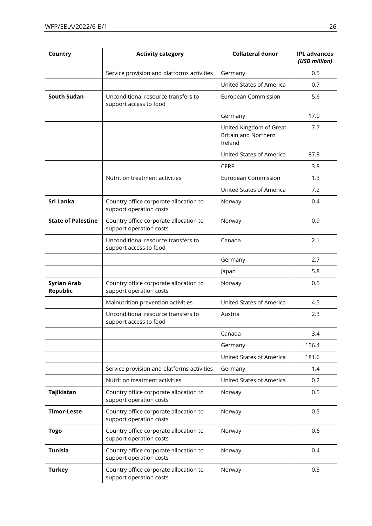| Country                        | <b>Activity category</b>                                          | <b>Collateral donor</b>                                           | <b>IPL advances</b><br>(USD million) |
|--------------------------------|-------------------------------------------------------------------|-------------------------------------------------------------------|--------------------------------------|
|                                | Service provision and platforms activities                        | Germany                                                           | 0.5                                  |
|                                |                                                                   | United States of America                                          | 0.7                                  |
| <b>South Sudan</b>             | Unconditional resource transfers to<br>support access to food     | <b>European Commission</b>                                        | 5.6                                  |
|                                |                                                                   | Germany                                                           | 17.0                                 |
|                                |                                                                   | United Kingdom of Great<br><b>Britain and Northern</b><br>Ireland | 7.7                                  |
|                                |                                                                   | United States of America                                          | 87.8                                 |
|                                |                                                                   | <b>CERF</b>                                                       | 3.8                                  |
|                                | Nutrition treatment activities                                    | European Commission                                               | 1.3                                  |
|                                |                                                                   | United States of America                                          | 7.2                                  |
| Sri Lanka                      | Country office corporate allocation to<br>support operation costs | Norway                                                            | 0.4                                  |
| <b>State of Palestine</b>      | Country office corporate allocation to<br>support operation costs | Norway                                                            | 0.9                                  |
|                                | Unconditional resource transfers to<br>support access to food     | Canada                                                            | 2.1                                  |
|                                |                                                                   | Germany                                                           | 2.7                                  |
|                                |                                                                   | Japan                                                             | 5.8                                  |
| <b>Syrian Arab</b><br>Republic | Country office corporate allocation to<br>support operation costs | Norway                                                            | 0.5                                  |
|                                | Malnutrition prevention activities                                | United States of America                                          | 4.5                                  |
|                                | Unconditional resource transfers to<br>support access to food     | Austria                                                           | 2.3                                  |
|                                |                                                                   | Canada                                                            | 3.4                                  |
|                                |                                                                   | Germany                                                           | 156.4                                |
|                                |                                                                   | United States of America                                          | 181.6                                |
|                                | Service provision and platforms activities                        | Germany                                                           | 1.4                                  |
|                                | Nutrition treatment activities                                    | United States of America                                          | 0.2                                  |
| Tajikistan                     | Country office corporate allocation to<br>support operation costs | Norway                                                            | 0.5                                  |
| <b>Timor-Leste</b>             | Country office corporate allocation to<br>support operation costs | Norway                                                            | 0.5                                  |
| <b>Togo</b>                    | Country office corporate allocation to<br>support operation costs | Norway                                                            | 0.6                                  |
| <b>Tunisia</b>                 | Country office corporate allocation to<br>support operation costs | Norway                                                            | 0.4                                  |
| <b>Turkey</b>                  | Country office corporate allocation to<br>support operation costs | Norway                                                            | 0.5                                  |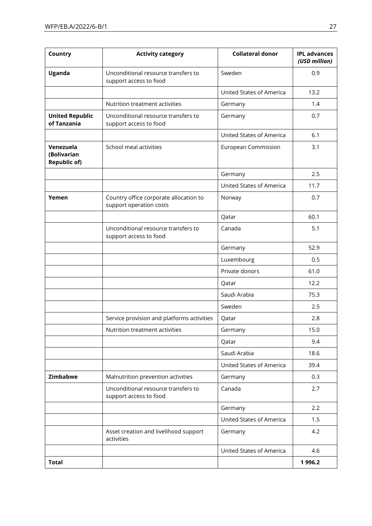| Country                                         | <b>Activity category</b>                                          | <b>Collateral donor</b>  | <b>IPL advances</b><br>(USD million) |
|-------------------------------------------------|-------------------------------------------------------------------|--------------------------|--------------------------------------|
| Uganda                                          | Unconditional resource transfers to<br>support access to food     | Sweden                   | 0.9                                  |
|                                                 |                                                                   | United States of America | 13.2                                 |
|                                                 | Nutrition treatment activities                                    | Germany                  | 1.4                                  |
| <b>United Republic</b><br>of Tanzania           | Unconditional resource transfers to<br>support access to food     | Germany                  | 0.7                                  |
|                                                 |                                                                   | United States of America | 6.1                                  |
| Venezuela<br>(Bolivarian<br><b>Republic of)</b> | School meal activities                                            | European Commission      | 3.1                                  |
|                                                 |                                                                   | Germany                  | 2.5                                  |
|                                                 |                                                                   | United States of America | 11.7                                 |
| Yemen                                           | Country office corporate allocation to<br>support operation costs | Norway                   | 0.7                                  |
|                                                 |                                                                   | Qatar                    | 60.1                                 |
|                                                 | Unconditional resource transfers to<br>support access to food     | Canada                   | 5.1                                  |
|                                                 |                                                                   | Germany                  | 52.9                                 |
|                                                 |                                                                   | Luxembourg               | 0.5                                  |
|                                                 |                                                                   | Private donors           | 61.0                                 |
|                                                 |                                                                   | Qatar                    | 12.2                                 |
|                                                 |                                                                   | Saudi Arabia             | 75.3                                 |
|                                                 |                                                                   | Sweden                   | 2.5                                  |
|                                                 | Service provision and platforms activities                        | Qatar                    | 2.8                                  |
|                                                 | Nutrition treatment activities                                    | Germany                  | 15.0                                 |
|                                                 |                                                                   | Qatar                    | 9.4                                  |
|                                                 |                                                                   | Saudi Arabia             | 18.6                                 |
|                                                 |                                                                   | United States of America | 39.4                                 |
| Zimbabwe                                        | Malnutrition prevention activities                                | Germany                  | 0.3                                  |
|                                                 | Unconditional resource transfers to<br>support access to food     | Canada                   | 2.7                                  |
|                                                 |                                                                   | Germany                  | 2.2                                  |
|                                                 |                                                                   | United States of America | 1.5                                  |
|                                                 | Asset creation and livelihood support<br>activities               | Germany                  | 4.2                                  |
|                                                 |                                                                   | United States of America | 4.6                                  |
| <b>Total</b>                                    |                                                                   |                          | 1996.2                               |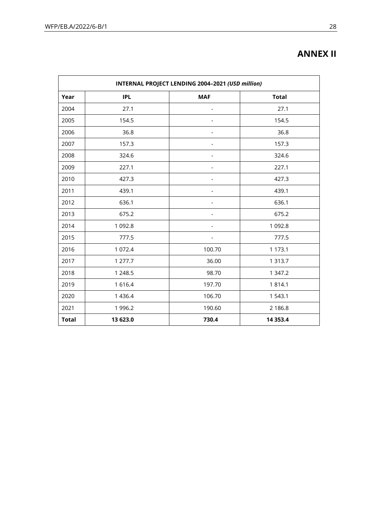| INTERNAL PROJECT LENDING 2004-2021 (USD million) |            |            |              |
|--------------------------------------------------|------------|------------|--------------|
| Year                                             | <b>IPL</b> | <b>MAF</b> | <b>Total</b> |
| 2004                                             | 27.1       |            | 27.1         |
| 2005                                             | 154.5      |            | 154.5        |
| 2006                                             | 36.8       |            | 36.8         |
| 2007                                             | 157.3      |            | 157.3        |
| 2008                                             | 324.6      |            | 324.6        |
| 2009                                             | 227.1      |            | 227.1        |
| 2010                                             | 427.3      |            | 427.3        |
| 2011                                             | 439.1      |            | 439.1        |
| 2012                                             | 636.1      |            | 636.1        |
| 2013                                             | 675.2      |            | 675.2        |
| 2014                                             | 1 0 9 2.8  |            | 1 0 9 2.8    |
| 2015                                             | 777.5      |            | 777.5        |
| 2016                                             | 1 0 7 2.4  | 100.70     | 1 173.1      |
| 2017                                             | 1 277.7    | 36.00      | 1 3 1 3 . 7  |
| 2018                                             | 1 2 4 8.5  | 98.70      | 1 347.2      |
| 2019                                             | 1616.4     | 197.70     | 1814.1       |
| 2020                                             | 1 4 3 6.4  | 106.70     | 1 543.1      |
| 2021                                             | 1 996.2    | 190.60     | 2 186.8      |
| <b>Total</b>                                     | 13 623.0   | 730.4      | 14 3 53.4    |

# **ANNEX II**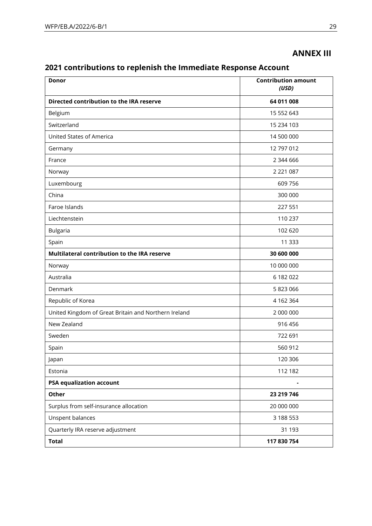# **ANNEX III**

# **2021 contributions to replenish the Immediate Response Account**

| <b>Contribution amount</b><br>Donor<br>(USD)         |               |
|------------------------------------------------------|---------------|
| Directed contribution to the IRA reserve             | 64 011 008    |
| Belgium                                              | 15 552 643    |
| Switzerland                                          | 15 234 103    |
| <b>United States of America</b>                      | 14 500 000    |
| Germany                                              | 12 797 012    |
| France                                               | 2 344 666     |
| Norway                                               | 2 2 2 1 0 8 7 |
| Luxembourg                                           | 609 756       |
| China                                                | 300 000       |
| Faroe Islands                                        | 227 551       |
| Liechtenstein                                        | 110 237       |
| <b>Bulgaria</b>                                      | 102 620       |
| Spain                                                | 11 3 3 3      |
| Multilateral contribution to the IRA reserve         | 30 600 000    |
| Norway                                               | 10 000 000    |
| Australia                                            | 6 182 022     |
| Denmark                                              | 5 823 066     |
| Republic of Korea                                    | 4 162 364     |
| United Kingdom of Great Britain and Northern Ireland | 2 000 000     |
| New Zealand                                          | 916 456       |
| Sweden                                               | 722 691       |
| Spain                                                | 560 912       |
| Japan                                                | 120 306       |
| Estonia                                              | 112 182       |
| <b>PSA equalization account</b>                      |               |
| <b>Other</b>                                         | 23 219 746    |
| Surplus from self-insurance allocation               | 20 000 000    |
| Unspent balances                                     | 3 188 553     |
| Quarterly IRA reserve adjustment                     | 31 1 93       |
| <b>Total</b>                                         | 117 830 754   |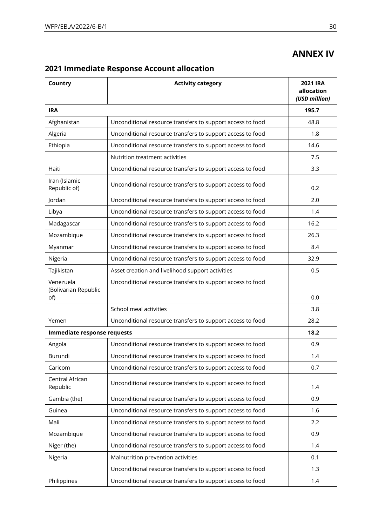# **ANNEX IV**

| Country                           | <b>Activity category</b>                                   | <b>2021 IRA</b><br>allocation<br>(USD million) |
|-----------------------------------|------------------------------------------------------------|------------------------------------------------|
| <b>IRA</b>                        |                                                            | 195.7                                          |
| Afghanistan                       | Unconditional resource transfers to support access to food | 48.8                                           |
| Algeria                           | Unconditional resource transfers to support access to food | 1.8                                            |
| Ethiopia                          | Unconditional resource transfers to support access to food | 14.6                                           |
|                                   | Nutrition treatment activities                             | 7.5                                            |
| Haiti                             | Unconditional resource transfers to support access to food | 3.3                                            |
| Iran (Islamic<br>Republic of)     | Unconditional resource transfers to support access to food | 0.2                                            |
| Jordan                            | Unconditional resource transfers to support access to food | 2.0                                            |
| Libya                             | Unconditional resource transfers to support access to food | 1.4                                            |
| Madagascar                        | Unconditional resource transfers to support access to food | 16.2                                           |
| Mozambique                        | Unconditional resource transfers to support access to food | 26.3                                           |
| Myanmar                           | Unconditional resource transfers to support access to food | 8.4                                            |
| Nigeria                           | Unconditional resource transfers to support access to food | 32.9                                           |
| Tajikistan                        | Asset creation and livelihood support activities           | 0.5                                            |
| Venezuela<br>(Bolivarian Republic | Unconditional resource transfers to support access to food |                                                |
| of)                               |                                                            | 0.0                                            |
|                                   | School meal activities                                     | 3.8                                            |
| Yemen                             | Unconditional resource transfers to support access to food | 28.2                                           |
| Immediate response requests       |                                                            | 18.2                                           |
| Angola                            | Unconditional resource transfers to support access to food | 0.9                                            |
| Burundi                           | Unconditional resource transfers to support access to food | 1.4                                            |
| Caricom                           | Unconditional resource transfers to support access to food | 0.7                                            |
| Central African<br>Republic       | Unconditional resource transfers to support access to food | 1.4                                            |
| Gambia (the)                      | Unconditional resource transfers to support access to food | 0.9                                            |
| Guinea                            | Unconditional resource transfers to support access to food | 1.6                                            |
| Mali                              | Unconditional resource transfers to support access to food | 2.2                                            |
| Mozambique                        | Unconditional resource transfers to support access to food | 0.9                                            |
| Niger (the)                       | Unconditional resource transfers to support access to food | 1.4                                            |
| Nigeria                           | Malnutrition prevention activities                         | 0.1                                            |
|                                   | Unconditional resource transfers to support access to food | 1.3                                            |
| Philippines                       | Unconditional resource transfers to support access to food | 1.4                                            |

# **2021 Immediate Response Account allocation**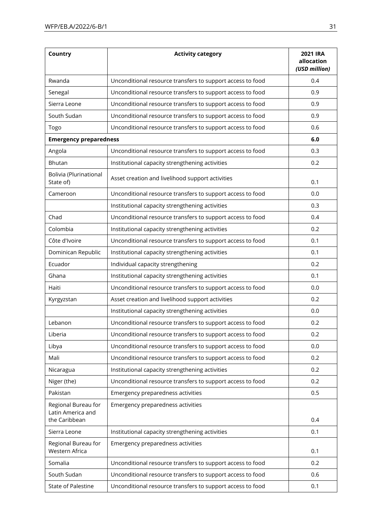| Country                                                   | <b>Activity category</b>                                   | <b>2021 IRA</b><br>allocation<br>(USD million) |
|-----------------------------------------------------------|------------------------------------------------------------|------------------------------------------------|
| Rwanda                                                    | Unconditional resource transfers to support access to food | 0.4                                            |
| Senegal                                                   | Unconditional resource transfers to support access to food | 0.9                                            |
| Sierra Leone                                              | Unconditional resource transfers to support access to food | 0.9                                            |
| South Sudan                                               | Unconditional resource transfers to support access to food | 0.9                                            |
| Togo                                                      | Unconditional resource transfers to support access to food | 0.6                                            |
| <b>Emergency preparedness</b>                             |                                                            | 6.0                                            |
| Angola                                                    | Unconditional resource transfers to support access to food | 0.3                                            |
| Bhutan                                                    | Institutional capacity strengthening activities            | 0.2                                            |
| Bolivia (Plurinational<br>State of)                       | Asset creation and livelihood support activities           | 0.1                                            |
| Cameroon                                                  | Unconditional resource transfers to support access to food | 0.0                                            |
|                                                           | Institutional capacity strengthening activities            | 0.3                                            |
| Chad                                                      | Unconditional resource transfers to support access to food | 0.4                                            |
| Colombia                                                  | Institutional capacity strengthening activities            | 0.2                                            |
| Côte d'Ivoire                                             | Unconditional resource transfers to support access to food | 0.1                                            |
| Dominican Republic                                        | Institutional capacity strengthening activities            | 0.1                                            |
| Ecuador                                                   | Individual capacity strengthening                          | 0.2                                            |
| Ghana                                                     | Institutional capacity strengthening activities            | 0.1                                            |
| Haiti                                                     | Unconditional resource transfers to support access to food | 0.0                                            |
| Kyrgyzstan                                                | Asset creation and livelihood support activities           | 0.2                                            |
|                                                           | Institutional capacity strengthening activities            | 0.0                                            |
| Lebanon                                                   | Unconditional resource transfers to support access to food | 0.2                                            |
| Liberia                                                   | Unconditional resource transfers to support access to food | 0.2                                            |
| Libya                                                     | Unconditional resource transfers to support access to food | 0.0                                            |
| Mali                                                      | Unconditional resource transfers to support access to food | 0.2                                            |
| Nicaragua                                                 | Institutional capacity strengthening activities            | 0.2                                            |
| Niger (the)                                               | Unconditional resource transfers to support access to food | 0.2                                            |
| Pakistan                                                  | Emergency preparedness activities                          | 0.5                                            |
| Regional Bureau for<br>Latin America and<br>the Caribbean | Emergency preparedness activities                          | 0.4                                            |
| Sierra Leone                                              | Institutional capacity strengthening activities            | 0.1                                            |
| Regional Bureau for<br>Western Africa                     | Emergency preparedness activities                          | 0.1                                            |
| Somalia                                                   | Unconditional resource transfers to support access to food | 0.2                                            |
| South Sudan                                               | Unconditional resource transfers to support access to food | 0.6                                            |
| State of Palestine                                        | Unconditional resource transfers to support access to food | 0.1                                            |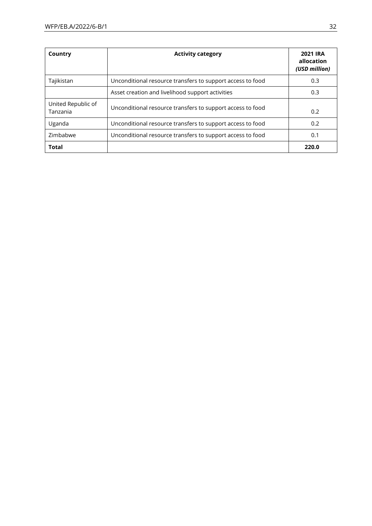| Country                        | <b>Activity category</b>                                   | <b>2021 IRA</b><br>allocation<br>(USD million) |
|--------------------------------|------------------------------------------------------------|------------------------------------------------|
| Tajikistan                     | Unconditional resource transfers to support access to food | 0.3                                            |
|                                | Asset creation and livelihood support activities           | 0.3                                            |
| United Republic of<br>Tanzania | Unconditional resource transfers to support access to food | 0.2                                            |
| Uganda                         | Unconditional resource transfers to support access to food | 0.2                                            |
| Zimbabwe                       | Unconditional resource transfers to support access to food | 0.1                                            |
| <b>Total</b>                   |                                                            | 220.0                                          |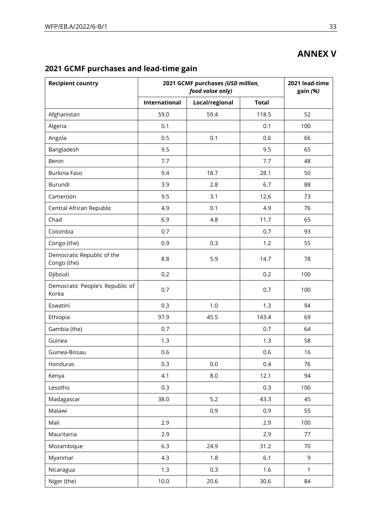# **ANNEX V**

| <b>Recipient country</b>                  | 2021 GCMF purchases (USD million,<br>food value only) |                |              | 2021 lead-time<br>gain (%) |
|-------------------------------------------|-------------------------------------------------------|----------------|--------------|----------------------------|
|                                           | <b>International</b>                                  | Local/regional | <b>Total</b> |                            |
| Afghanistan                               | 59.0                                                  | 59.4           | 118.5        | 52                         |
| Algeria                                   | 0.1                                                   |                | 0.1          | 100                        |
| Angola                                    | 0.5                                                   | 0.1            | 0.6          | 66                         |
| Bangladesh                                | 9.5                                                   |                | 9.5          | 65                         |
| Benin                                     | 7.7                                                   |                | 7.7          | 48                         |
| Burkina Faso                              | 9.4                                                   | 18.7           | 28.1         | 50                         |
| Burundi                                   | 3.9                                                   | 2.8            | 6.7          | 88                         |
| Cameroon                                  | 9.5                                                   | 3.1            | 12.6         | 73                         |
| Central African Republic                  | 4.9                                                   | 0.1            | 4.9          | 76                         |
| Chad                                      | 6.9                                                   | 4.8            | 11.7         | 65                         |
| Colombia                                  | 0.7                                                   |                | 0.7          | 93                         |
| Congo (the)                               | 0.9                                                   | 0.3            | 1.2          | 55                         |
| Democratic Republic of the<br>Congo (the) | 8.8                                                   | 5.9            | 14.7         | 78                         |
| Djibouti                                  | 0.2                                                   |                | 0.2          | 100                        |
| Democratic People's Republic of<br>Korea  | 0.7                                                   |                | 0.7          | 100                        |
| Eswatini                                  | 0.3                                                   | 1.0            | 1.3          | 94                         |
| Ethiopia                                  | 97.9                                                  | 45.5           | 143.4        | 69                         |
| Gambia (the)                              | 0.7                                                   |                | 0.7          | 64                         |
| Guinea                                    | 1.3                                                   |                | 1.3          | 58                         |
| Guinea-Bissau                             | 0.6                                                   |                | 0.6          | 16                         |
| Honduras                                  | 0.3                                                   | 0.0            | 0.4          | 76                         |
| Kenya                                     | 4.1                                                   | 8.0            | 12.1         | 94                         |
| Lesotho                                   | 0.3                                                   |                | 0.3          | 100                        |
| Madagascar                                | 38.0                                                  | $5.2$          | 43.3         | 45                         |
| Malawi                                    |                                                       | 0.9            | 0.9          | 55                         |
| Mali                                      | 2.9                                                   |                | 2.9          | 100                        |
| Mauritania                                | 2.9                                                   |                | 2.9          | 77                         |
| Mozambique                                | 6.3                                                   | 24.9           | 31.2         | 70                         |
| Myanmar                                   | 4.3                                                   | 1.8            | $6.1$        | 9                          |
| Nicaragua                                 | 1.3                                                   | 0.3            | 1.6          | 1                          |
| Niger (the)                               | 10.0                                                  | 20.6           | 30.6         | 84                         |

# **2021 GCMF purchases and lead-time gain**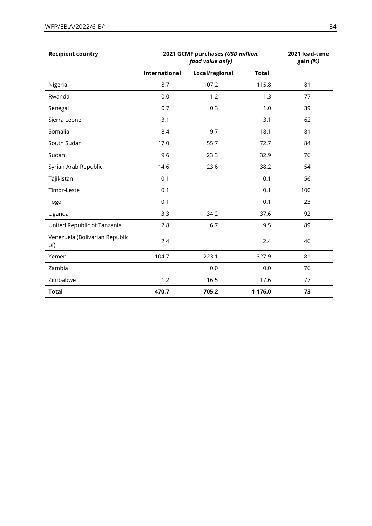| <b>Recipient country</b>              | 2021 GCMF purchases (USD million,<br>food value only) |                |              | 2021 lead-time<br>gain (%) |
|---------------------------------------|-------------------------------------------------------|----------------|--------------|----------------------------|
|                                       | International                                         | Local/regional | <b>Total</b> |                            |
| Nigeria                               | 8.7                                                   | 107.2          | 115.8        | 81                         |
| Rwanda                                | 0.0                                                   | 1.2            | 1.3          | 77                         |
| Senegal                               | 0.7                                                   | 0.3            | 1.0          | 39                         |
| Sierra Leone                          | 3.1                                                   |                | 3.1          | 62                         |
| Somalia                               | 8.4                                                   | 9.7            | 18.1         | 81                         |
| South Sudan                           | 17.0                                                  | 55.7           | 72.7         | 84                         |
| Sudan                                 | 9.6                                                   | 23.3           | 32.9         | 76                         |
| Syrian Arab Republic                  | 14.6                                                  | 23.6           | 38.2         | 54                         |
| Tajikistan                            | 0.1                                                   |                | 0.1          | 56                         |
| Timor-Leste                           | 0.1                                                   |                | 0.1          | 100                        |
| Togo                                  | 0.1                                                   |                | 0.1          | 23                         |
| Uganda                                | 3.3                                                   | 34.2           | 37.6         | 92                         |
| United Republic of Tanzania           | 2.8                                                   | 6.7            | 9.5          | 89                         |
| Venezuela (Bolivarian Republic<br>of) | 2.4                                                   |                | 2.4          | 46                         |
| Yemen                                 | 104.7                                                 | 223.1          | 327.9        | 81                         |
| Zambia                                |                                                       | 0.0            | 0.0          | 76                         |
| Zimbabwe                              | 1.2                                                   | 16.5           | 17.6         | 77                         |
| <b>Total</b>                          | 470.7                                                 | 705.2          | 1 176.0      | 73                         |